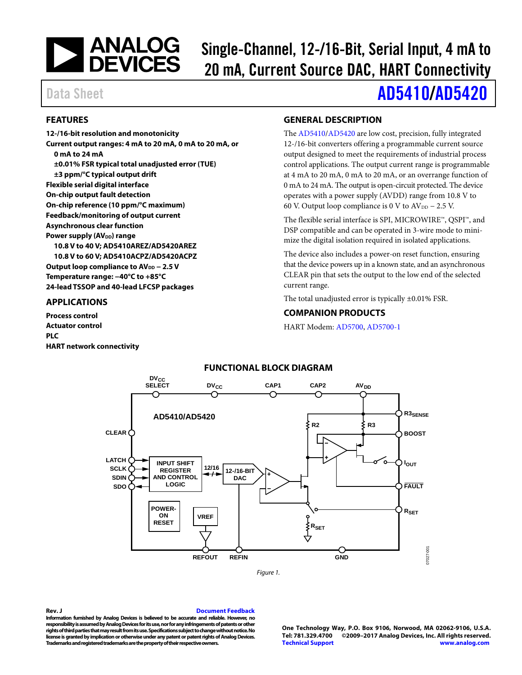# | ANALOG<br>| DEVICES

# Single-Channel, 12-/16-Bit, Serial Input, 4 mA to 20 mA, Current Source DAC, HART Connectivity

#### <span id="page-0-0"></span>**FEATURES**

**12-/16-bit resolution and monotonicity Current output ranges: 4 mA to 20 mA, 0 mA to 20 mA, or 0 mA to 24 mA ±0.01% FSR typical total unadjusted error (TUE) ±3 ppm/°C typical output drift Flexible serial digital interface On-chip output fault detection On-chip reference (10 ppm/°C maximum) Feedback/monitoring of output current Asynchronous clear function Power supply (AV<sub>DD</sub>) range 10.8 V to 40 V; AD5410AREZ/AD5420AREZ 10.8 V to 60 V; AD5410ACPZ/AD5420ACPZ** Output loop compliance to AV<sub>DD</sub> − 2.5 V **Temperature range: −40°C to +85°C 24-lead TSSOP and 40-lead LFCSP packages**

#### <span id="page-0-1"></span>**APPLICATIONS**

<span id="page-0-4"></span>**Process control Actuator control PLC HART network connectivity**

# <span id="page-0-2"></span>**GENERAL DESCRIPTION**

The [AD5410/](http://www.analog.com/AD5410?doc=AD5410_5420.pdf)[AD5420](http://www.analog.com/AD5420?doc=AD5410_5420.pdf) are low cost, precision, fully integrated 12-/16-bit converters offering a programmable current source output designed to meet the requirements of industrial process control applications. The output current range is programmable at 4 mA to 20 mA, 0 mA to 20 mA, or an overrange function of 0 mA to 24 mA. The output is open-circuit protected. The device operates with a power supply (AVDD) range from 10.8 V to 60 V. Output loop compliance is 0 V to  $AV_{DD}$  – 2.5 V.

The flexible serial interface is SPI, MICROWIRE™, QSPI™, and DSP compatible and can be operated in 3-wire mode to minimize the digital isolation required in isolated applications.

The device also includes a power-on reset function, ensuring that the device powers up in a known state, and an asynchronous CLEAR pin that sets the output to the low end of the selected current range.

The total unadjusted error is typically ±0.01% FSR.

#### <span id="page-0-3"></span>**COMPANION PRODUCTS**

HART Modem[: AD5700,](http://www.analog.com/AD5700?doc=AD5410_5420.pdf) [AD5700-1](http://www.analog.com/AD5700-1?doc=AD5410_5420.pdf)

#### **FUNCTIONAL BLOCK DIAGRAM** DV<sub>CC</sub><br>SELECT **DV<sub>cC</sub> CAP2 AV**<sub>DD</sub> **CAP1** C **R3SENSE AD5410/AD5420 R2 R3 CLEAR BOOST LATCH INPUT SHIFT IOUT 12/16 SCLK REGISTER 12-/16-BIT SDIN AND CONTROL DAC LOGIC SDO FAULT POWER-RSET ON VREF RESET RSET** 00-72077 07027-001 **REFOUT REFIN GND**

*Figure 1.* 

#### **Rev. J [Document Feedback](https://form.analog.com/Form_Pages/feedback/documentfeedback.aspx?doc=AD5410_5420.pdf&product=AD5410%20AD5420&rev=J)**

**Information furnished by Analog Devices is believed to be accurate and reliable. However, no responsibility is assumed by Analog Devices for its use, nor for any infringements of patents or other rights of third parties that may result from its use. Specifications subject to change without notice. No license is granted by implication or otherwise under any patent or patent rights of Analog Devices. Trademarks and registered trademarks are the property of their respective owners.**

**One Technology Way, P.O. Box 9106, Norwood, MA 02062-9106, U.S.A. Tel: 781.329.4700 ©2009–2017 Analog Devices, Inc. All rights reserved. [Technical Support](http://www.analog.com/en/content/technical_support_page/fca.html) [www.analog.com](http://www.analog.com/)**

# Data Sheet **[AD5410/](http://www.analog.com/AD5410?doc=AD5410_5420.pdf)[AD5420](http://www.analog.com/AD5420?doc=AD5410_5420.pdf)**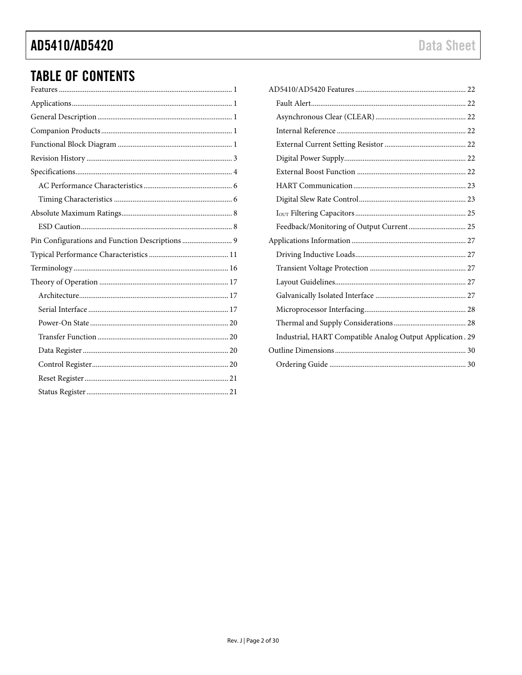# **TABLE OF CONTENTS**

| Pin Configurations and Function Descriptions  9 |
|-------------------------------------------------|
|                                                 |
|                                                 |
|                                                 |
|                                                 |
|                                                 |
|                                                 |
|                                                 |
|                                                 |
|                                                 |
|                                                 |
|                                                 |

| Feedback/Monitoring of Output Current 25                  |  |
|-----------------------------------------------------------|--|
|                                                           |  |
|                                                           |  |
|                                                           |  |
|                                                           |  |
|                                                           |  |
|                                                           |  |
|                                                           |  |
| Industrial, HART Compatible Analog Output Application. 29 |  |
|                                                           |  |
|                                                           |  |
|                                                           |  |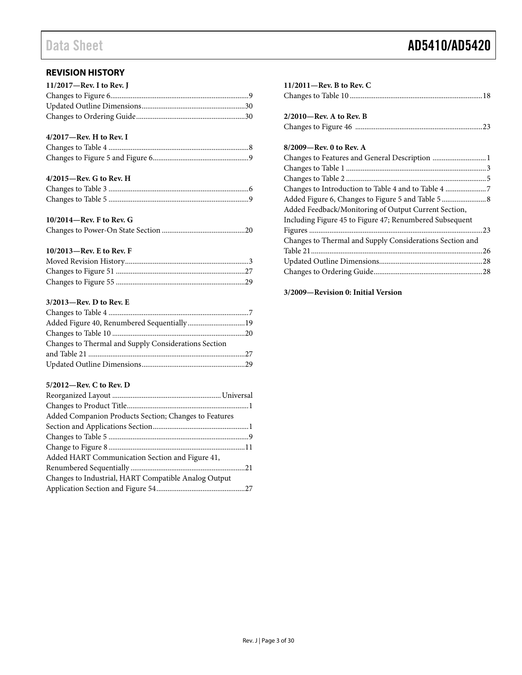#### <span id="page-2-0"></span>**REVISION HISTORY**

| 11/2017-Rev. I to Rev. J |  |
|--------------------------|--|
|                          |  |
|                          |  |
|                          |  |

#### **4/2017—Rev. H to Rev. I**

#### **4/2015—Rev. G to Rev. H**

#### **10/2014—Rev. F to Rev. G**

|--|--|--|--|--|

#### **10/2013—Rev. E to Rev. F**

#### **3/2013—Rev. D to Rev. E**

| Added Figure 40, Renumbered Sequentially19           |  |
|------------------------------------------------------|--|
|                                                      |  |
| Changes to Thermal and Supply Considerations Section |  |
|                                                      |  |
|                                                      |  |

#### **5/2012—Rev. C to Rev. D**

| Added Companion Products Section; Changes to Features |  |
|-------------------------------------------------------|--|
|                                                       |  |
|                                                       |  |
|                                                       |  |
| Added HART Communication Section and Figure 41,       |  |
|                                                       |  |
| Changes to Industrial, HART Compatible Analog Output  |  |
|                                                       |  |

### **11/2011—Rev. B to Rev. C** Changes to Table 10 ........................................................................18 **2/2010—Rev. A to Rev. B** Changes to Figure 46 .....................................................................23

#### **8/2009—Rev. 0 to Rev. A**

| Changes to Features and General Description  1           |  |
|----------------------------------------------------------|--|
|                                                          |  |
|                                                          |  |
| Changes to Introduction to Table 4 and to Table 4 7      |  |
|                                                          |  |
| Added Feedback/Monitoring of Output Current Section,     |  |
| Including Figure 45 to Figure 47; Renumbered Subsequent  |  |
|                                                          |  |
| Changes to Thermal and Supply Considerations Section and |  |
|                                                          |  |
|                                                          |  |
|                                                          |  |
|                                                          |  |

#### **3/2009—Revision 0: Initial Version**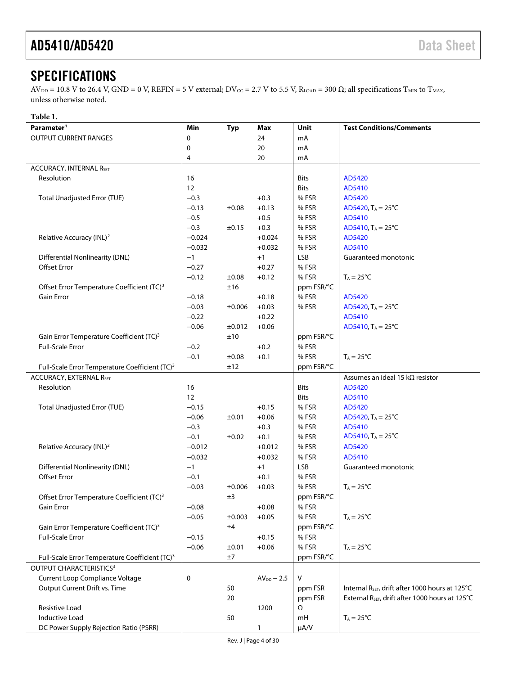# <span id="page-3-0"></span>**SPECIFICATIONS**

 $AV_{DD} = 10.8$  V to 26.4 V, GND = 0 V, REFIN = 5 V external; DV<sub>CC</sub> = 2.7 V to 5.5 V, R<sub>LOAD</sub> = 300  $\Omega$ ; all specifications T<sub>MIN</sub> to T<sub>MAX</sub>, unless otherwise noted.

#### **Table 1.**

| <b>OUTPUT CURRENT RANGES</b><br>0<br>24<br>mA<br>20<br>0<br>mA<br>20<br>4<br>mA<br><b>ACCURACY, INTERNAL RSET</b><br>Resolution<br>16<br>Bits<br>AD5420<br>12<br>AD5410<br>Bits<br><b>Total Unadjusted Error (TUE)</b><br>$-0.3$<br>%FSR<br>AD5420<br>$+0.3$<br>% FSR<br>$-0.13$<br>±0.08<br>$+0.13$<br>AD5420, $T_A = 25^{\circ}C$<br>$-0.5$<br>%FSR<br>AD5410<br>$+0.5$<br>$-0.3$<br>%FSR<br>±0.15<br>$+0.3$<br>AD5410, $T_A = 25^{\circ}C$<br>Relative Accuracy (INL) <sup>2</sup><br>$-0.024$<br>%FSR<br>AD5420<br>$+0.024$<br>%FSR<br>AD5410<br>$-0.032$<br>$+0.032$<br><b>Differential Nonlinearity (DNL)</b><br><b>LSB</b><br>Guaranteed monotonic<br>$+1$<br>$-1$<br><b>Offset Error</b><br>%FSR<br>$-0.27$<br>$+0.27$<br>%FSR<br>$-0.12$<br>$+0.12$<br>$T_A = 25^{\circ}C$<br>±0.08<br>Offset Error Temperature Coefficient (TC) <sup>3</sup><br>±16<br>ppm FSR/°C<br><b>Gain Error</b><br>%FSR<br>$-0.18$<br>$+0.18$<br>AD5420<br>%FSR<br>$-0.03$<br>$+0.03$<br>AD5420, $T_A = 25^{\circ}C$<br>±0.006<br>$+0.22$<br>AD5410<br>$-0.22$<br>$-0.06$<br>±0.012<br>$+0.06$<br>AD5410, $T_A = 25^{\circ}C$<br>±10<br>ppm FSR/°C<br>Gain Error Temperature Coefficient (TC) <sup>3</sup><br><b>Full-Scale Error</b><br>%FSR<br>$-0.2$<br>$+0.2$<br>%FSR<br>$-0.1$<br>±0.08<br>$+0.1$<br>$T_A = 25^{\circ}C$<br>Full-Scale Error Temperature Coefficient (TC) <sup>3</sup><br>±12<br>ppm FSR/°C<br>Assumes an ideal 15 k $\Omega$ resistor<br><b>ACCURACY, EXTERNAL RSET</b><br>Resolution<br>16<br>Bits<br>AD5420<br>12<br>AD5410<br>Bits<br>Total Unadjusted Error (TUE)<br>$-0.15$<br>$+0.15$<br>% FSR<br>AD5420<br>%FSR<br>$-0.06$<br>±0.01<br>$+0.06$<br>AD5420, $T_A = 25^{\circ}C$<br>$-0.3$<br>%FSR<br>AD5410<br>$+0.3$<br>AD5410, $T_A = 25^{\circ}C$<br>$-0.1$<br>%FSR<br>±0.02<br>$+0.1$<br>$-0.012$<br>%FSR<br>Relative Accuracy (INL) <sup>2</sup><br>$+0.012$<br>AD5420<br>%FSR<br>AD5410<br>$-0.032$<br>$+0.032$<br><b>Differential Nonlinearity (DNL)</b><br><b>LSB</b><br>$-1$<br>$+1$<br>Guaranteed monotonic<br><b>Offset Error</b><br>$-0.1$<br>$+0.1$<br>% FSR<br>% FSR<br>$-0.03$<br>$+0.03$<br>$T_A = 25^{\circ}C$<br>±0.006<br>Offset Error Temperature Coefficient (TC) <sup>3</sup><br>±3<br>ppm FSR/°C<br>Gain Error<br>$-0.08$<br>$+0.08$<br>% FSR<br>%FSR<br>$-0.05$<br>±0.003<br>$+0.05$<br>$T_A = 25$ °C<br>Gain Error Temperature Coefficient (TC) <sup>3</sup><br>ppm FSR/°C<br>±4<br><b>Full-Scale Error</b><br>%FSR<br>$-0.15$<br>$+0.15$<br>%FSR<br>$-0.06$<br>±0.01<br>$+0.06$<br>$T_A = 25^{\circ}C$<br>±7<br>ppm FSR/°C<br>Full-Scale Error Temperature Coefficient (TC) <sup>3</sup><br>OUTPUT CHARACTERISTICS <sup>3</sup><br>Current Loop Compliance Voltage<br>0<br>$AV_{DD} - 2.5$<br>v<br>Output Current Drift vs. Time<br>50<br>Internal R <sub>SET</sub> , drift after 1000 hours at 125°C<br>ppm FSR<br>External R <sub>SET</sub> , drift after 1000 hours at 125°C<br>20<br>ppm FSR<br><b>Resistive Load</b><br>1200<br>Ω<br>Inductive Load<br>50<br>$T_A = 25^{\circ}C$<br>mH | Parameter <sup>1</sup>                 | Min | <b>Typ</b> | Max          | Unit      | <b>Test Conditions/Comments</b> |
|-----------------------------------------------------------------------------------------------------------------------------------------------------------------------------------------------------------------------------------------------------------------------------------------------------------------------------------------------------------------------------------------------------------------------------------------------------------------------------------------------------------------------------------------------------------------------------------------------------------------------------------------------------------------------------------------------------------------------------------------------------------------------------------------------------------------------------------------------------------------------------------------------------------------------------------------------------------------------------------------------------------------------------------------------------------------------------------------------------------------------------------------------------------------------------------------------------------------------------------------------------------------------------------------------------------------------------------------------------------------------------------------------------------------------------------------------------------------------------------------------------------------------------------------------------------------------------------------------------------------------------------------------------------------------------------------------------------------------------------------------------------------------------------------------------------------------------------------------------------------------------------------------------------------------------------------------------------------------------------------------------------------------------------------------------------------------------------------------------------------------------------------------------------------------------------------------------------------------------------------------------------------------------------------------------------------------------------------------------------------------------------------------------------------------------------------------------------------------------------------------------------------------------------------------------------------------------------------------------------------------------------------------------------------------------------------------------------------------------------------------------------------------------------------------------------------------------------------------------------------------------------------------------------------------------------------------------------------------------------------------------------------------------------|----------------------------------------|-----|------------|--------------|-----------|---------------------------------|
|                                                                                                                                                                                                                                                                                                                                                                                                                                                                                                                                                                                                                                                                                                                                                                                                                                                                                                                                                                                                                                                                                                                                                                                                                                                                                                                                                                                                                                                                                                                                                                                                                                                                                                                                                                                                                                                                                                                                                                                                                                                                                                                                                                                                                                                                                                                                                                                                                                                                                                                                                                                                                                                                                                                                                                                                                                                                                                                                                                                                                                   |                                        |     |            |              |           |                                 |
|                                                                                                                                                                                                                                                                                                                                                                                                                                                                                                                                                                                                                                                                                                                                                                                                                                                                                                                                                                                                                                                                                                                                                                                                                                                                                                                                                                                                                                                                                                                                                                                                                                                                                                                                                                                                                                                                                                                                                                                                                                                                                                                                                                                                                                                                                                                                                                                                                                                                                                                                                                                                                                                                                                                                                                                                                                                                                                                                                                                                                                   |                                        |     |            |              |           |                                 |
|                                                                                                                                                                                                                                                                                                                                                                                                                                                                                                                                                                                                                                                                                                                                                                                                                                                                                                                                                                                                                                                                                                                                                                                                                                                                                                                                                                                                                                                                                                                                                                                                                                                                                                                                                                                                                                                                                                                                                                                                                                                                                                                                                                                                                                                                                                                                                                                                                                                                                                                                                                                                                                                                                                                                                                                                                                                                                                                                                                                                                                   |                                        |     |            |              |           |                                 |
|                                                                                                                                                                                                                                                                                                                                                                                                                                                                                                                                                                                                                                                                                                                                                                                                                                                                                                                                                                                                                                                                                                                                                                                                                                                                                                                                                                                                                                                                                                                                                                                                                                                                                                                                                                                                                                                                                                                                                                                                                                                                                                                                                                                                                                                                                                                                                                                                                                                                                                                                                                                                                                                                                                                                                                                                                                                                                                                                                                                                                                   |                                        |     |            |              |           |                                 |
|                                                                                                                                                                                                                                                                                                                                                                                                                                                                                                                                                                                                                                                                                                                                                                                                                                                                                                                                                                                                                                                                                                                                                                                                                                                                                                                                                                                                                                                                                                                                                                                                                                                                                                                                                                                                                                                                                                                                                                                                                                                                                                                                                                                                                                                                                                                                                                                                                                                                                                                                                                                                                                                                                                                                                                                                                                                                                                                                                                                                                                   |                                        |     |            |              |           |                                 |
|                                                                                                                                                                                                                                                                                                                                                                                                                                                                                                                                                                                                                                                                                                                                                                                                                                                                                                                                                                                                                                                                                                                                                                                                                                                                                                                                                                                                                                                                                                                                                                                                                                                                                                                                                                                                                                                                                                                                                                                                                                                                                                                                                                                                                                                                                                                                                                                                                                                                                                                                                                                                                                                                                                                                                                                                                                                                                                                                                                                                                                   |                                        |     |            |              |           |                                 |
|                                                                                                                                                                                                                                                                                                                                                                                                                                                                                                                                                                                                                                                                                                                                                                                                                                                                                                                                                                                                                                                                                                                                                                                                                                                                                                                                                                                                                                                                                                                                                                                                                                                                                                                                                                                                                                                                                                                                                                                                                                                                                                                                                                                                                                                                                                                                                                                                                                                                                                                                                                                                                                                                                                                                                                                                                                                                                                                                                                                                                                   |                                        |     |            |              |           |                                 |
|                                                                                                                                                                                                                                                                                                                                                                                                                                                                                                                                                                                                                                                                                                                                                                                                                                                                                                                                                                                                                                                                                                                                                                                                                                                                                                                                                                                                                                                                                                                                                                                                                                                                                                                                                                                                                                                                                                                                                                                                                                                                                                                                                                                                                                                                                                                                                                                                                                                                                                                                                                                                                                                                                                                                                                                                                                                                                                                                                                                                                                   |                                        |     |            |              |           |                                 |
|                                                                                                                                                                                                                                                                                                                                                                                                                                                                                                                                                                                                                                                                                                                                                                                                                                                                                                                                                                                                                                                                                                                                                                                                                                                                                                                                                                                                                                                                                                                                                                                                                                                                                                                                                                                                                                                                                                                                                                                                                                                                                                                                                                                                                                                                                                                                                                                                                                                                                                                                                                                                                                                                                                                                                                                                                                                                                                                                                                                                                                   |                                        |     |            |              |           |                                 |
|                                                                                                                                                                                                                                                                                                                                                                                                                                                                                                                                                                                                                                                                                                                                                                                                                                                                                                                                                                                                                                                                                                                                                                                                                                                                                                                                                                                                                                                                                                                                                                                                                                                                                                                                                                                                                                                                                                                                                                                                                                                                                                                                                                                                                                                                                                                                                                                                                                                                                                                                                                                                                                                                                                                                                                                                                                                                                                                                                                                                                                   |                                        |     |            |              |           |                                 |
|                                                                                                                                                                                                                                                                                                                                                                                                                                                                                                                                                                                                                                                                                                                                                                                                                                                                                                                                                                                                                                                                                                                                                                                                                                                                                                                                                                                                                                                                                                                                                                                                                                                                                                                                                                                                                                                                                                                                                                                                                                                                                                                                                                                                                                                                                                                                                                                                                                                                                                                                                                                                                                                                                                                                                                                                                                                                                                                                                                                                                                   |                                        |     |            |              |           |                                 |
|                                                                                                                                                                                                                                                                                                                                                                                                                                                                                                                                                                                                                                                                                                                                                                                                                                                                                                                                                                                                                                                                                                                                                                                                                                                                                                                                                                                                                                                                                                                                                                                                                                                                                                                                                                                                                                                                                                                                                                                                                                                                                                                                                                                                                                                                                                                                                                                                                                                                                                                                                                                                                                                                                                                                                                                                                                                                                                                                                                                                                                   |                                        |     |            |              |           |                                 |
|                                                                                                                                                                                                                                                                                                                                                                                                                                                                                                                                                                                                                                                                                                                                                                                                                                                                                                                                                                                                                                                                                                                                                                                                                                                                                                                                                                                                                                                                                                                                                                                                                                                                                                                                                                                                                                                                                                                                                                                                                                                                                                                                                                                                                                                                                                                                                                                                                                                                                                                                                                                                                                                                                                                                                                                                                                                                                                                                                                                                                                   |                                        |     |            |              |           |                                 |
|                                                                                                                                                                                                                                                                                                                                                                                                                                                                                                                                                                                                                                                                                                                                                                                                                                                                                                                                                                                                                                                                                                                                                                                                                                                                                                                                                                                                                                                                                                                                                                                                                                                                                                                                                                                                                                                                                                                                                                                                                                                                                                                                                                                                                                                                                                                                                                                                                                                                                                                                                                                                                                                                                                                                                                                                                                                                                                                                                                                                                                   |                                        |     |            |              |           |                                 |
|                                                                                                                                                                                                                                                                                                                                                                                                                                                                                                                                                                                                                                                                                                                                                                                                                                                                                                                                                                                                                                                                                                                                                                                                                                                                                                                                                                                                                                                                                                                                                                                                                                                                                                                                                                                                                                                                                                                                                                                                                                                                                                                                                                                                                                                                                                                                                                                                                                                                                                                                                                                                                                                                                                                                                                                                                                                                                                                                                                                                                                   |                                        |     |            |              |           |                                 |
|                                                                                                                                                                                                                                                                                                                                                                                                                                                                                                                                                                                                                                                                                                                                                                                                                                                                                                                                                                                                                                                                                                                                                                                                                                                                                                                                                                                                                                                                                                                                                                                                                                                                                                                                                                                                                                                                                                                                                                                                                                                                                                                                                                                                                                                                                                                                                                                                                                                                                                                                                                                                                                                                                                                                                                                                                                                                                                                                                                                                                                   |                                        |     |            |              |           |                                 |
|                                                                                                                                                                                                                                                                                                                                                                                                                                                                                                                                                                                                                                                                                                                                                                                                                                                                                                                                                                                                                                                                                                                                                                                                                                                                                                                                                                                                                                                                                                                                                                                                                                                                                                                                                                                                                                                                                                                                                                                                                                                                                                                                                                                                                                                                                                                                                                                                                                                                                                                                                                                                                                                                                                                                                                                                                                                                                                                                                                                                                                   |                                        |     |            |              |           |                                 |
|                                                                                                                                                                                                                                                                                                                                                                                                                                                                                                                                                                                                                                                                                                                                                                                                                                                                                                                                                                                                                                                                                                                                                                                                                                                                                                                                                                                                                                                                                                                                                                                                                                                                                                                                                                                                                                                                                                                                                                                                                                                                                                                                                                                                                                                                                                                                                                                                                                                                                                                                                                                                                                                                                                                                                                                                                                                                                                                                                                                                                                   |                                        |     |            |              |           |                                 |
|                                                                                                                                                                                                                                                                                                                                                                                                                                                                                                                                                                                                                                                                                                                                                                                                                                                                                                                                                                                                                                                                                                                                                                                                                                                                                                                                                                                                                                                                                                                                                                                                                                                                                                                                                                                                                                                                                                                                                                                                                                                                                                                                                                                                                                                                                                                                                                                                                                                                                                                                                                                                                                                                                                                                                                                                                                                                                                                                                                                                                                   |                                        |     |            |              |           |                                 |
|                                                                                                                                                                                                                                                                                                                                                                                                                                                                                                                                                                                                                                                                                                                                                                                                                                                                                                                                                                                                                                                                                                                                                                                                                                                                                                                                                                                                                                                                                                                                                                                                                                                                                                                                                                                                                                                                                                                                                                                                                                                                                                                                                                                                                                                                                                                                                                                                                                                                                                                                                                                                                                                                                                                                                                                                                                                                                                                                                                                                                                   |                                        |     |            |              |           |                                 |
|                                                                                                                                                                                                                                                                                                                                                                                                                                                                                                                                                                                                                                                                                                                                                                                                                                                                                                                                                                                                                                                                                                                                                                                                                                                                                                                                                                                                                                                                                                                                                                                                                                                                                                                                                                                                                                                                                                                                                                                                                                                                                                                                                                                                                                                                                                                                                                                                                                                                                                                                                                                                                                                                                                                                                                                                                                                                                                                                                                                                                                   |                                        |     |            |              |           |                                 |
|                                                                                                                                                                                                                                                                                                                                                                                                                                                                                                                                                                                                                                                                                                                                                                                                                                                                                                                                                                                                                                                                                                                                                                                                                                                                                                                                                                                                                                                                                                                                                                                                                                                                                                                                                                                                                                                                                                                                                                                                                                                                                                                                                                                                                                                                                                                                                                                                                                                                                                                                                                                                                                                                                                                                                                                                                                                                                                                                                                                                                                   |                                        |     |            |              |           |                                 |
|                                                                                                                                                                                                                                                                                                                                                                                                                                                                                                                                                                                                                                                                                                                                                                                                                                                                                                                                                                                                                                                                                                                                                                                                                                                                                                                                                                                                                                                                                                                                                                                                                                                                                                                                                                                                                                                                                                                                                                                                                                                                                                                                                                                                                                                                                                                                                                                                                                                                                                                                                                                                                                                                                                                                                                                                                                                                                                                                                                                                                                   |                                        |     |            |              |           |                                 |
|                                                                                                                                                                                                                                                                                                                                                                                                                                                                                                                                                                                                                                                                                                                                                                                                                                                                                                                                                                                                                                                                                                                                                                                                                                                                                                                                                                                                                                                                                                                                                                                                                                                                                                                                                                                                                                                                                                                                                                                                                                                                                                                                                                                                                                                                                                                                                                                                                                                                                                                                                                                                                                                                                                                                                                                                                                                                                                                                                                                                                                   |                                        |     |            |              |           |                                 |
|                                                                                                                                                                                                                                                                                                                                                                                                                                                                                                                                                                                                                                                                                                                                                                                                                                                                                                                                                                                                                                                                                                                                                                                                                                                                                                                                                                                                                                                                                                                                                                                                                                                                                                                                                                                                                                                                                                                                                                                                                                                                                                                                                                                                                                                                                                                                                                                                                                                                                                                                                                                                                                                                                                                                                                                                                                                                                                                                                                                                                                   |                                        |     |            |              |           |                                 |
|                                                                                                                                                                                                                                                                                                                                                                                                                                                                                                                                                                                                                                                                                                                                                                                                                                                                                                                                                                                                                                                                                                                                                                                                                                                                                                                                                                                                                                                                                                                                                                                                                                                                                                                                                                                                                                                                                                                                                                                                                                                                                                                                                                                                                                                                                                                                                                                                                                                                                                                                                                                                                                                                                                                                                                                                                                                                                                                                                                                                                                   |                                        |     |            |              |           |                                 |
|                                                                                                                                                                                                                                                                                                                                                                                                                                                                                                                                                                                                                                                                                                                                                                                                                                                                                                                                                                                                                                                                                                                                                                                                                                                                                                                                                                                                                                                                                                                                                                                                                                                                                                                                                                                                                                                                                                                                                                                                                                                                                                                                                                                                                                                                                                                                                                                                                                                                                                                                                                                                                                                                                                                                                                                                                                                                                                                                                                                                                                   |                                        |     |            |              |           |                                 |
|                                                                                                                                                                                                                                                                                                                                                                                                                                                                                                                                                                                                                                                                                                                                                                                                                                                                                                                                                                                                                                                                                                                                                                                                                                                                                                                                                                                                                                                                                                                                                                                                                                                                                                                                                                                                                                                                                                                                                                                                                                                                                                                                                                                                                                                                                                                                                                                                                                                                                                                                                                                                                                                                                                                                                                                                                                                                                                                                                                                                                                   |                                        |     |            |              |           |                                 |
|                                                                                                                                                                                                                                                                                                                                                                                                                                                                                                                                                                                                                                                                                                                                                                                                                                                                                                                                                                                                                                                                                                                                                                                                                                                                                                                                                                                                                                                                                                                                                                                                                                                                                                                                                                                                                                                                                                                                                                                                                                                                                                                                                                                                                                                                                                                                                                                                                                                                                                                                                                                                                                                                                                                                                                                                                                                                                                                                                                                                                                   |                                        |     |            |              |           |                                 |
|                                                                                                                                                                                                                                                                                                                                                                                                                                                                                                                                                                                                                                                                                                                                                                                                                                                                                                                                                                                                                                                                                                                                                                                                                                                                                                                                                                                                                                                                                                                                                                                                                                                                                                                                                                                                                                                                                                                                                                                                                                                                                                                                                                                                                                                                                                                                                                                                                                                                                                                                                                                                                                                                                                                                                                                                                                                                                                                                                                                                                                   |                                        |     |            |              |           |                                 |
|                                                                                                                                                                                                                                                                                                                                                                                                                                                                                                                                                                                                                                                                                                                                                                                                                                                                                                                                                                                                                                                                                                                                                                                                                                                                                                                                                                                                                                                                                                                                                                                                                                                                                                                                                                                                                                                                                                                                                                                                                                                                                                                                                                                                                                                                                                                                                                                                                                                                                                                                                                                                                                                                                                                                                                                                                                                                                                                                                                                                                                   |                                        |     |            |              |           |                                 |
|                                                                                                                                                                                                                                                                                                                                                                                                                                                                                                                                                                                                                                                                                                                                                                                                                                                                                                                                                                                                                                                                                                                                                                                                                                                                                                                                                                                                                                                                                                                                                                                                                                                                                                                                                                                                                                                                                                                                                                                                                                                                                                                                                                                                                                                                                                                                                                                                                                                                                                                                                                                                                                                                                                                                                                                                                                                                                                                                                                                                                                   |                                        |     |            |              |           |                                 |
|                                                                                                                                                                                                                                                                                                                                                                                                                                                                                                                                                                                                                                                                                                                                                                                                                                                                                                                                                                                                                                                                                                                                                                                                                                                                                                                                                                                                                                                                                                                                                                                                                                                                                                                                                                                                                                                                                                                                                                                                                                                                                                                                                                                                                                                                                                                                                                                                                                                                                                                                                                                                                                                                                                                                                                                                                                                                                                                                                                                                                                   |                                        |     |            |              |           |                                 |
|                                                                                                                                                                                                                                                                                                                                                                                                                                                                                                                                                                                                                                                                                                                                                                                                                                                                                                                                                                                                                                                                                                                                                                                                                                                                                                                                                                                                                                                                                                                                                                                                                                                                                                                                                                                                                                                                                                                                                                                                                                                                                                                                                                                                                                                                                                                                                                                                                                                                                                                                                                                                                                                                                                                                                                                                                                                                                                                                                                                                                                   |                                        |     |            |              |           |                                 |
|                                                                                                                                                                                                                                                                                                                                                                                                                                                                                                                                                                                                                                                                                                                                                                                                                                                                                                                                                                                                                                                                                                                                                                                                                                                                                                                                                                                                                                                                                                                                                                                                                                                                                                                                                                                                                                                                                                                                                                                                                                                                                                                                                                                                                                                                                                                                                                                                                                                                                                                                                                                                                                                                                                                                                                                                                                                                                                                                                                                                                                   |                                        |     |            |              |           |                                 |
|                                                                                                                                                                                                                                                                                                                                                                                                                                                                                                                                                                                                                                                                                                                                                                                                                                                                                                                                                                                                                                                                                                                                                                                                                                                                                                                                                                                                                                                                                                                                                                                                                                                                                                                                                                                                                                                                                                                                                                                                                                                                                                                                                                                                                                                                                                                                                                                                                                                                                                                                                                                                                                                                                                                                                                                                                                                                                                                                                                                                                                   |                                        |     |            |              |           |                                 |
|                                                                                                                                                                                                                                                                                                                                                                                                                                                                                                                                                                                                                                                                                                                                                                                                                                                                                                                                                                                                                                                                                                                                                                                                                                                                                                                                                                                                                                                                                                                                                                                                                                                                                                                                                                                                                                                                                                                                                                                                                                                                                                                                                                                                                                                                                                                                                                                                                                                                                                                                                                                                                                                                                                                                                                                                                                                                                                                                                                                                                                   |                                        |     |            |              |           |                                 |
|                                                                                                                                                                                                                                                                                                                                                                                                                                                                                                                                                                                                                                                                                                                                                                                                                                                                                                                                                                                                                                                                                                                                                                                                                                                                                                                                                                                                                                                                                                                                                                                                                                                                                                                                                                                                                                                                                                                                                                                                                                                                                                                                                                                                                                                                                                                                                                                                                                                                                                                                                                                                                                                                                                                                                                                                                                                                                                                                                                                                                                   |                                        |     |            |              |           |                                 |
|                                                                                                                                                                                                                                                                                                                                                                                                                                                                                                                                                                                                                                                                                                                                                                                                                                                                                                                                                                                                                                                                                                                                                                                                                                                                                                                                                                                                                                                                                                                                                                                                                                                                                                                                                                                                                                                                                                                                                                                                                                                                                                                                                                                                                                                                                                                                                                                                                                                                                                                                                                                                                                                                                                                                                                                                                                                                                                                                                                                                                                   |                                        |     |            |              |           |                                 |
|                                                                                                                                                                                                                                                                                                                                                                                                                                                                                                                                                                                                                                                                                                                                                                                                                                                                                                                                                                                                                                                                                                                                                                                                                                                                                                                                                                                                                                                                                                                                                                                                                                                                                                                                                                                                                                                                                                                                                                                                                                                                                                                                                                                                                                                                                                                                                                                                                                                                                                                                                                                                                                                                                                                                                                                                                                                                                                                                                                                                                                   |                                        |     |            |              |           |                                 |
|                                                                                                                                                                                                                                                                                                                                                                                                                                                                                                                                                                                                                                                                                                                                                                                                                                                                                                                                                                                                                                                                                                                                                                                                                                                                                                                                                                                                                                                                                                                                                                                                                                                                                                                                                                                                                                                                                                                                                                                                                                                                                                                                                                                                                                                                                                                                                                                                                                                                                                                                                                                                                                                                                                                                                                                                                                                                                                                                                                                                                                   |                                        |     |            |              |           |                                 |
|                                                                                                                                                                                                                                                                                                                                                                                                                                                                                                                                                                                                                                                                                                                                                                                                                                                                                                                                                                                                                                                                                                                                                                                                                                                                                                                                                                                                                                                                                                                                                                                                                                                                                                                                                                                                                                                                                                                                                                                                                                                                                                                                                                                                                                                                                                                                                                                                                                                                                                                                                                                                                                                                                                                                                                                                                                                                                                                                                                                                                                   |                                        |     |            |              |           |                                 |
|                                                                                                                                                                                                                                                                                                                                                                                                                                                                                                                                                                                                                                                                                                                                                                                                                                                                                                                                                                                                                                                                                                                                                                                                                                                                                                                                                                                                                                                                                                                                                                                                                                                                                                                                                                                                                                                                                                                                                                                                                                                                                                                                                                                                                                                                                                                                                                                                                                                                                                                                                                                                                                                                                                                                                                                                                                                                                                                                                                                                                                   |                                        |     |            |              |           |                                 |
|                                                                                                                                                                                                                                                                                                                                                                                                                                                                                                                                                                                                                                                                                                                                                                                                                                                                                                                                                                                                                                                                                                                                                                                                                                                                                                                                                                                                                                                                                                                                                                                                                                                                                                                                                                                                                                                                                                                                                                                                                                                                                                                                                                                                                                                                                                                                                                                                                                                                                                                                                                                                                                                                                                                                                                                                                                                                                                                                                                                                                                   |                                        |     |            |              |           |                                 |
|                                                                                                                                                                                                                                                                                                                                                                                                                                                                                                                                                                                                                                                                                                                                                                                                                                                                                                                                                                                                                                                                                                                                                                                                                                                                                                                                                                                                                                                                                                                                                                                                                                                                                                                                                                                                                                                                                                                                                                                                                                                                                                                                                                                                                                                                                                                                                                                                                                                                                                                                                                                                                                                                                                                                                                                                                                                                                                                                                                                                                                   |                                        |     |            |              |           |                                 |
|                                                                                                                                                                                                                                                                                                                                                                                                                                                                                                                                                                                                                                                                                                                                                                                                                                                                                                                                                                                                                                                                                                                                                                                                                                                                                                                                                                                                                                                                                                                                                                                                                                                                                                                                                                                                                                                                                                                                                                                                                                                                                                                                                                                                                                                                                                                                                                                                                                                                                                                                                                                                                                                                                                                                                                                                                                                                                                                                                                                                                                   |                                        |     |            |              |           |                                 |
|                                                                                                                                                                                                                                                                                                                                                                                                                                                                                                                                                                                                                                                                                                                                                                                                                                                                                                                                                                                                                                                                                                                                                                                                                                                                                                                                                                                                                                                                                                                                                                                                                                                                                                                                                                                                                                                                                                                                                                                                                                                                                                                                                                                                                                                                                                                                                                                                                                                                                                                                                                                                                                                                                                                                                                                                                                                                                                                                                                                                                                   |                                        |     |            |              |           |                                 |
|                                                                                                                                                                                                                                                                                                                                                                                                                                                                                                                                                                                                                                                                                                                                                                                                                                                                                                                                                                                                                                                                                                                                                                                                                                                                                                                                                                                                                                                                                                                                                                                                                                                                                                                                                                                                                                                                                                                                                                                                                                                                                                                                                                                                                                                                                                                                                                                                                                                                                                                                                                                                                                                                                                                                                                                                                                                                                                                                                                                                                                   |                                        |     |            |              |           |                                 |
|                                                                                                                                                                                                                                                                                                                                                                                                                                                                                                                                                                                                                                                                                                                                                                                                                                                                                                                                                                                                                                                                                                                                                                                                                                                                                                                                                                                                                                                                                                                                                                                                                                                                                                                                                                                                                                                                                                                                                                                                                                                                                                                                                                                                                                                                                                                                                                                                                                                                                                                                                                                                                                                                                                                                                                                                                                                                                                                                                                                                                                   |                                        |     |            |              |           |                                 |
|                                                                                                                                                                                                                                                                                                                                                                                                                                                                                                                                                                                                                                                                                                                                                                                                                                                                                                                                                                                                                                                                                                                                                                                                                                                                                                                                                                                                                                                                                                                                                                                                                                                                                                                                                                                                                                                                                                                                                                                                                                                                                                                                                                                                                                                                                                                                                                                                                                                                                                                                                                                                                                                                                                                                                                                                                                                                                                                                                                                                                                   | DC Power Supply Rejection Ratio (PSRR) |     |            | $\mathbf{1}$ | $\mu A/V$ |                                 |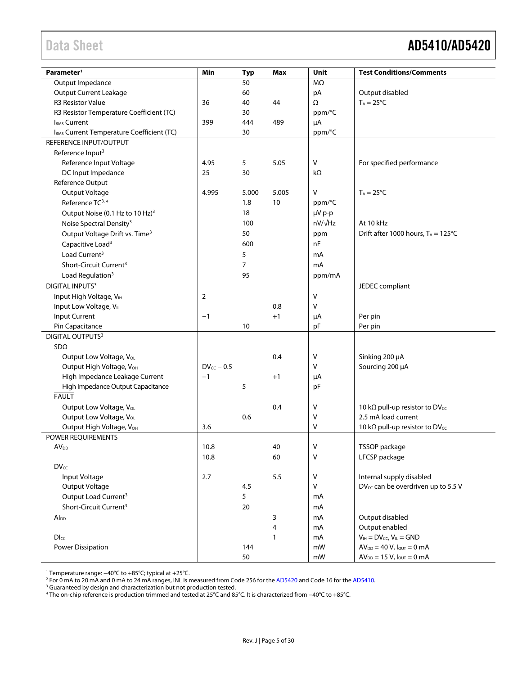# <span id="page-4-0"></span>Data Sheet **AD5410/AD5420**

| Parameter <sup>1</sup>                                 | Min             | Typ            | Max          | Unit           | <b>Test Conditions/Comments</b>                    |
|--------------------------------------------------------|-----------------|----------------|--------------|----------------|----------------------------------------------------|
| Output Impedance                                       |                 | 50             |              | MΩ             |                                                    |
| <b>Output Current Leakage</b>                          |                 | 60             |              | pA             | Output disabled                                    |
| R3 Resistor Value                                      | 36              | 40             | 44           | Ω              | $T_A = 25^{\circ}C$                                |
| R3 Resistor Temperature Coefficient (TC)               |                 | 30             |              | ppm/°C         |                                                    |
| <b>IBIAS</b> Current                                   | 399             | 444            | 489          | μA             |                                                    |
| IBIAS Current Temperature Coefficient (TC)             |                 | 30             |              | ppm/°C         |                                                    |
| REFERENCE INPUT/OUTPUT                                 |                 |                |              |                |                                                    |
| Reference Input <sup>3</sup>                           |                 |                |              |                |                                                    |
| Reference Input Voltage                                | 4.95            | 5              | 5.05         | V              | For specified performance                          |
| DC Input Impedance                                     | 25              | 30             |              | $k\Omega$      |                                                    |
| Reference Output                                       |                 |                |              |                |                                                    |
| Output Voltage                                         | 4.995           | 5.000          | 5.005        | v              | $T_A = 25^{\circ}C$                                |
| Reference TC <sup>3, 4</sup>                           |                 | 1.8            | 10           | ppm/°C         |                                                    |
| Output Noise (0.1 Hz to 10 Hz) <sup>3</sup>            |                 | 18             |              | µV p-p         |                                                    |
| Noise Spectral Density <sup>3</sup>                    |                 | 100            |              | $nV/\sqrt{Hz}$ | At 10 kHz                                          |
| Output Voltage Drift vs. Time <sup>3</sup>             |                 | 50             |              | ppm            | Drift after 1000 hours, $T_A = 125^{\circ}C$       |
| Capacitive Load <sup>3</sup>                           |                 | 600            |              | nF             |                                                    |
| Load Current <sup>3</sup>                              |                 | 5              |              | mA             |                                                    |
| Short-Circuit Current <sup>3</sup>                     |                 | $\overline{7}$ |              | mA             |                                                    |
|                                                        |                 | 95             |              |                |                                                    |
| Load Regulation <sup>3</sup><br><b>DIGITAL INPUTS3</b> |                 |                |              | ppm/mA         |                                                    |
|                                                        |                 |                |              |                | JEDEC compliant                                    |
| Input High Voltage, VIH                                | 2               |                |              | V              |                                                    |
| Input Low Voltage, VLL                                 |                 |                | 0.8          | v              |                                                    |
| Input Current                                          | $-1$            |                | $+1$         | μA             | Per pin                                            |
| Pin Capacitance                                        |                 | 10             |              | pF             | Per pin                                            |
| DIGITAL OUTPUTS <sup>3</sup>                           |                 |                |              |                |                                                    |
| SDO                                                    |                 |                |              |                |                                                    |
| Output Low Voltage, VoL                                |                 |                | 0.4          | ٧              | Sinking 200 µA                                     |
| Output High Voltage, VOH                               | $DV_{cc} - 0.5$ |                |              | v              | Sourcing 200 µA                                    |
| High Impedance Leakage Current                         | $-1$            |                | $+1$         | μA             |                                                    |
| High Impedance Output Capacitance                      |                 | 5              |              | pF             |                                                    |
| <b>FAULT</b>                                           |                 |                |              |                |                                                    |
| Output Low Voltage, V <sub>OL</sub>                    |                 |                | 0.4          | V              | 10 k $\Omega$ pull-up resistor to DV <sub>cc</sub> |
| Output Low Voltage, V <sub>OL</sub>                    |                 | 0.6            |              | ٧              | 2.5 mA load current                                |
| Output High Voltage, VOH                               | 3.6             |                |              | V              | 10 k $\Omega$ pull-up resistor to DV <sub>cc</sub> |
| <b>POWER REOUIREMENTS</b>                              |                 |                |              |                |                                                    |
| AV <sub>DD</sub>                                       | 10.8            |                | 40           | ٧              | TSSOP package                                      |
|                                                        | 10.8            |                | 60           | V              | LFCSP package                                      |
| $DV_{cc}$                                              |                 |                |              |                |                                                    |
| Input Voltage                                          | 2.7             |                | 5.5          | $\sf V$        | Internal supply disabled                           |
| Output Voltage                                         |                 | 4.5            |              | v              | DV <sub>cc</sub> can be overdriven up to 5.5 V     |
| Output Load Current <sup>3</sup>                       |                 | 5              |              | mA             |                                                    |
| Short-Circuit Current <sup>3</sup>                     |                 | 20             |              | mA             |                                                    |
| $Al_{DD}$                                              |                 |                | 3            | mA             | Output disabled                                    |
|                                                        |                 |                | 4            | mA             | Output enabled                                     |
| $DI_{CC}$                                              |                 |                | $\mathbf{1}$ | mA             | $V_{IH} = DV_{CC}$ , $V_{IL} = GND$                |
| Power Dissipation                                      |                 | 144            |              | mW             | $AV_{DD} = 40 V, I_{OUT} = 0 mA$                   |
|                                                        |                 | 50             |              | mW             | $AV_{DD} = 15 V, I_{OUT} = 0 mA$                   |

<sup>1</sup> Temperature range: −40°C to +85°C; typical at +25°C.

<sup>2</sup> For 0 mA to 20 mA and 0 mA to 24 mA ranges, INL is measured from Code 256 for th[e AD5420](http://www.analog.com/AD5420?doc=AD5410_5420.pdf) and Code 16 for th[e AD5410.](http://www.analog.com/AD5410?doc=AD5410_5420.pdf)

<sup>3</sup> Guaranteed by design and characterization but not production tested.

<sup>4</sup> The on-chip reference is production trimmed and tested at 25°C and 85°C. It is characterized from −40°C to +85°C.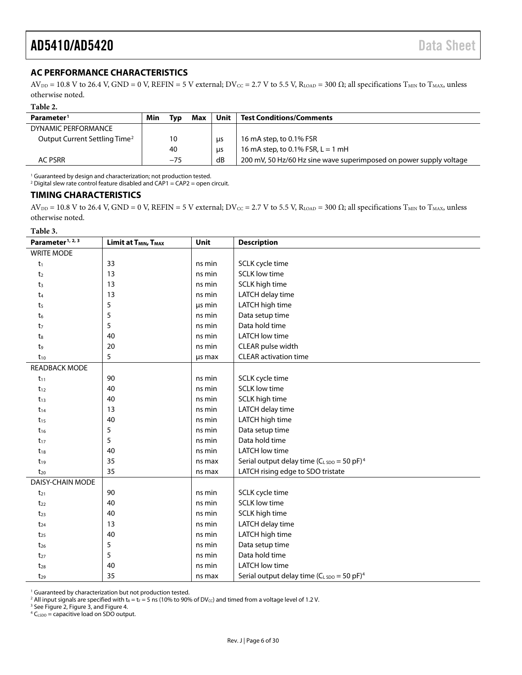#### <span id="page-5-0"></span>**AC PERFORMANCE CHARACTERISTICS**

 $AV_{DD} = 10.8$  V to 26.4 V, GND = 0 V, REFIN = 5 V external;  $DV_{CC} = 2.7$  V to 5.5 V, R<sub>LOAD</sub> = 300  $\Omega$ ; all specifications T<sub>MIN</sub> to T<sub>MAX</sub>, unless otherwise noted.

**Table 2.** 

| Parameter <sup>1</sup>                    | Min | Typ   | Max | Unit | <b>Test Conditions/Comments</b>                                    |
|-------------------------------------------|-----|-------|-----|------|--------------------------------------------------------------------|
| DYNAMIC PERFORMANCE                       |     |       |     |      |                                                                    |
| Output Current Settling Time <sup>2</sup> |     | 10    |     | us   | 16 mA step, to 0.1% FSR                                            |
|                                           |     | 40    |     | us   | 16 mA step, to 0.1% FSR, $L = 1$ mH                                |
| <b>AC PSRR</b>                            |     | $-75$ |     | dB   | 200 mV, 50 Hz/60 Hz sine wave superimposed on power supply voltage |

<sup>1</sup> Guaranteed by design and characterization; not production tested.

<sup>2</sup> Digital slew rate control feature disabled and CAP1 = CAP2 = open circuit.

#### <span id="page-5-1"></span>**TIMING CHARACTERISTICS**

 $AV_{DD} = 10.8$  V to 26.4 V, GND = 0 V, REFIN = 5 V external;  $DV_{CC} = 2.7$  V to 5.5 V, R<sub>LOAD</sub> = 300  $\Omega$ ; all specifications T<sub>MIN</sub> to T<sub>MAX</sub>, unless otherwise noted.

**Table 3.** 

| Parameter <sup>1, 2, 3</sup> | Limit at T <sub>MIN</sub> , T <sub>MAX</sub> | Unit   | <b>Description</b>                                           |
|------------------------------|----------------------------------------------|--------|--------------------------------------------------------------|
| <b>WRITE MODE</b>            |                                              |        |                                                              |
| $t_1$                        | 33                                           | ns min | SCLK cycle time                                              |
| t <sub>2</sub>               | 13                                           | ns min | <b>SCLK low time</b>                                         |
| t <sub>3</sub>               | 13                                           | ns min | SCLK high time                                               |
| $t_4$                        | 13                                           | ns min | LATCH delay time                                             |
| t <sub>5</sub>               | 5                                            | us min | LATCH high time                                              |
| t6                           | 5                                            | ns min | Data setup time                                              |
| t7                           | 5                                            | ns min | Data hold time                                               |
| t <sub>8</sub>               | 40                                           | ns min | <b>LATCH low time</b>                                        |
| $t_9$                        | 20                                           | ns min | CLEAR pulse width                                            |
| $t_{10}$                     | 5                                            | us max | <b>CLEAR activation time</b>                                 |
| <b>READBACK MODE</b>         |                                              |        |                                                              |
| $t_{11}$                     | 90                                           | ns min | SCLK cycle time                                              |
| $t_{12}$                     | 40                                           | ns min | <b>SCLK low time</b>                                         |
| $t_{13}$                     | 40                                           | ns min | SCLK high time                                               |
| $t_{14}$                     | 13                                           | ns min | LATCH delay time                                             |
| $t_{15}$                     | 40                                           | ns min | LATCH high time                                              |
| $t_{16}$                     | 5                                            | ns min | Data setup time                                              |
| $t_{17}$                     | 5                                            | ns min | Data hold time                                               |
| $t_{18}$                     | 40                                           | ns min | <b>LATCH low time</b>                                        |
| $t_{19}$                     | 35                                           | ns max | Serial output delay time ( $C_{L,5DO} = 50$ pF) <sup>4</sup> |
| $t_{20}$                     | 35                                           | ns max | LATCH rising edge to SDO tristate                            |
| DAISY-CHAIN MODE             |                                              |        |                                                              |
| $t_{21}$                     | 90                                           | ns min | SCLK cycle time                                              |
| $t_{22}$                     | 40                                           | ns min | <b>SCLK low time</b>                                         |
| $t_{23}$                     | 40                                           | ns min | SCLK high time                                               |
| $t_{24}$                     | 13                                           | ns min | LATCH delay time                                             |
| $t_{25}$                     | 40                                           | ns min | LATCH high time                                              |
| $t_{26}$                     | 5                                            | ns min | Data setup time                                              |
| $t_{27}$                     | 5                                            | ns min | Data hold time                                               |
| $t_{28}$                     | 40                                           | ns min | <b>LATCH low time</b>                                        |
| $t_{29}$                     | 35                                           | ns max | Serial output delay time ( $C_{LSDO} = 50$ pF) <sup>4</sup>  |

<sup>1</sup> Guaranteed by characterization but not production tested.

<sup>2</sup> All input signals are specified with t<sub>R</sub> = t<sub>F</sub> = 5 ns (10% to 90% of DV<sub>cc</sub>) and timed from a voltage level of 1.2 V.

<sup>3</sup> Se[e Figure 2,](#page-6-0) [Figure 3,](#page-6-1) an[d Figure 4.](#page-6-2)

 $4 C_{LSDO} =$  capacitive load on SDO output.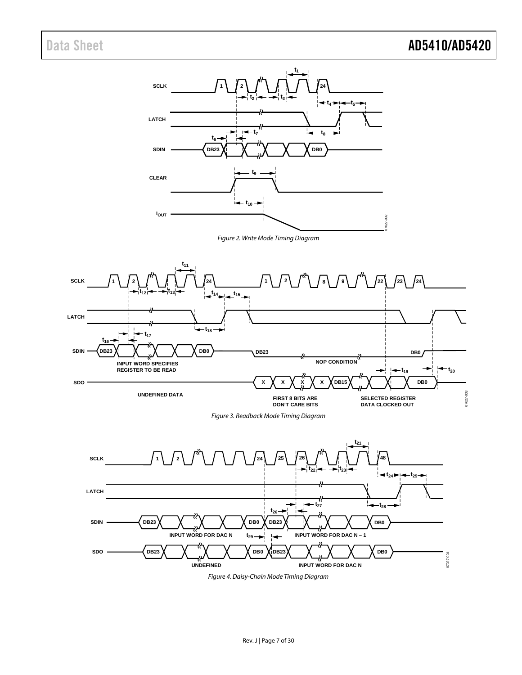<span id="page-6-0"></span>

<span id="page-6-2"></span><span id="page-6-1"></span>*Figure 4. Daisy-Chain Mode Timing Diagram*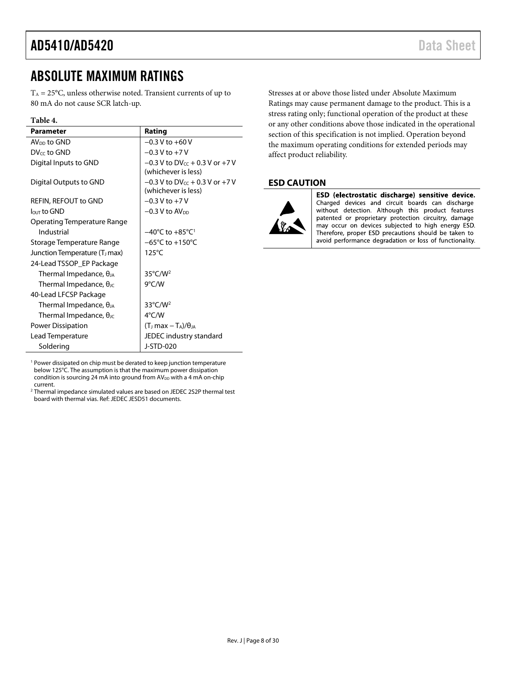# <span id="page-7-0"></span>ABSOLUTE MAXIMUM RATINGS

 $T_A = 25^{\circ}$ C, unless otherwise noted. Transient currents of up to 80 mA do not cause SCR latch-up.

#### **Table 4.**

| <b>Parameter</b>                          | Rating                                                       |
|-------------------------------------------|--------------------------------------------------------------|
| AV <sub>pp</sub> to GND                   | $-0.3$ V to $+60$ V                                          |
| DV <sub>cc</sub> to GND                   | $-0.3$ V to $+7$ V                                           |
| Digital Inputs to GND                     | $-0.3$ V to DV $cc + 0.3$ V or $+7$ V<br>(whichever is less) |
| Digital Outputs to GND                    | $-0.3$ V to DV $cc + 0.3$ V or $+7$ V<br>(whichever is less) |
| REFIN, REFOUT to GND                      | $-0.3 V$ to $+7 V$                                           |
| $\ln$ to GND                              | $-0.3$ V to AV <sub>pp</sub>                                 |
| Operating Temperature Range               |                                                              |
| Industrial                                | $-40^{\circ}$ C to $+85^{\circ}$ C <sup>1</sup>              |
| Storage Temperature Range                 | $-65^{\circ}$ C to $+150^{\circ}$ C                          |
| Junction Temperature (T <sub>J</sub> max) | $125^{\circ}$ C                                              |
| 24-Lead TSSOP_EP Package                  |                                                              |
| Thermal Impedance, $\theta_{JA}$          | $35^{\circ}$ C/W <sup>2</sup>                                |
| Thermal Impedance, $\theta_{\text{JC}}$   | $9^{\circ}$ C/W                                              |
| 40-Lead LFCSP Package                     |                                                              |
| Thermal Impedance, $\theta_{JA}$          | $33^{\circ}$ C/W <sup>2</sup>                                |
| Thermal Impedance, $\theta_{\text{JC}}$   | $4^{\circ}$ C/W                                              |
| Power Dissipation                         | $(TJ max - TA)/\thetaJA$                                     |
| Lead Temperature                          | JEDEC industry standard                                      |
| Soldering                                 | J-STD-020                                                    |

<sup>1</sup> Power dissipated on chip must be derated to keep junction temperature below 125°C. The assumption is that the maximum power dissipation condition is sourcing 24 mA into ground from AV<sub>DD</sub> with a 4 mA on-chip current.

<sup>2</sup> Thermal impedance simulated values are based on JEDEC 2S2P thermal test board with thermal vias. Ref: JEDEC JESD51 documents.

Stresses at or above those listed under Absolute Maximum Ratings may cause permanent damage to the product. This is a stress rating only; functional operation of the product at these or any other conditions above those indicated in the operational section of this specification is not implied. Operation beyond the maximum operating conditions for extended periods may affect product reliability.

#### <span id="page-7-1"></span>**ESD CAUTION**



ESD (electrostatic discharge) sensitive device. Charged devices and circuit boards can discharge without detection. Although this product features patented or proprietary protection circuitry, damage may occur on devices subjected to high energy ESD. Therefore, proper ESD precautions should be taken to avoid performance degradation or loss of functionality.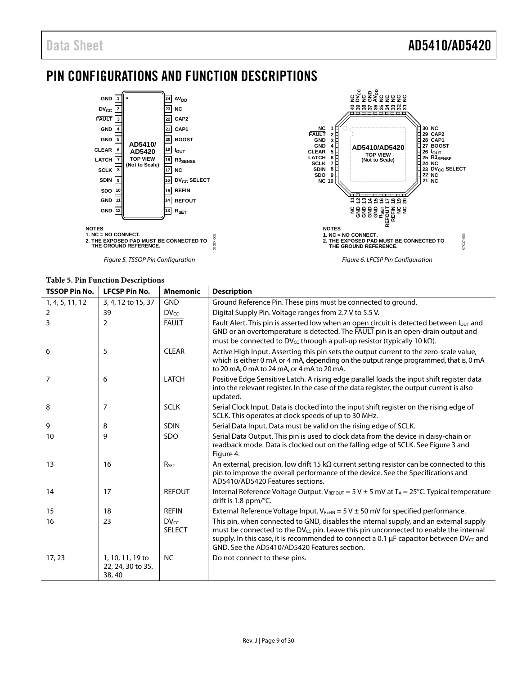# <span id="page-8-0"></span>PIN CONFIGURATIONS AND FUNCTION DESCRIPTIONS



|  |  | <b>Table 5. Pin Function Descriptions</b> |
|--|--|-------------------------------------------|
|--|--|-------------------------------------------|

| <b>TSSOP Pin No.</b> | <b>LFCSP Pin No.</b>                           | <b>Mnemonic</b>            | <b>Description</b>                                                                                                                                                                                                                                                                                                                                   |
|----------------------|------------------------------------------------|----------------------------|------------------------------------------------------------------------------------------------------------------------------------------------------------------------------------------------------------------------------------------------------------------------------------------------------------------------------------------------------|
| 1, 4, 5, 11, 12      | 3, 4, 12 to 15, 37                             | <b>GND</b>                 | Ground Reference Pin. These pins must be connected to ground.                                                                                                                                                                                                                                                                                        |
| 2                    | 39                                             | <b>DVcc</b>                | Digital Supply Pin. Voltage ranges from 2.7 V to 5.5 V.                                                                                                                                                                                                                                                                                              |
| 3                    | $\overline{2}$                                 | <b>FAULT</b>               | Fault Alert. This pin is asserted low when an open circuit is detected between lout and<br>GND or an overtemperature is detected. The FAULT pin is an open-drain output and<br>must be connected to $DV_{cc}$ through a pull-up resistor (typically 10 k $\Omega$ ).                                                                                 |
| 6                    | 5                                              | <b>CLEAR</b>               | Active High Input. Asserting this pin sets the output current to the zero-scale value,<br>which is either 0 mA or 4 mA, depending on the output range programmed, that is, 0 mA<br>to 20 mA, 0 mA to 24 mA, or 4 mA to 20 mA.                                                                                                                        |
| 7                    | 6                                              | <b>LATCH</b>               | Positive Edge Sensitive Latch. A rising edge parallel loads the input shift register data<br>into the relevant register. In the case of the data register, the output current is also<br>updated.                                                                                                                                                    |
| 8                    | 7                                              | <b>SCLK</b>                | Serial Clock Input. Data is clocked into the input shift register on the rising edge of<br>SCLK. This operates at clock speeds of up to 30 MHz.                                                                                                                                                                                                      |
| 9                    | 8                                              | <b>SDIN</b>                | Serial Data Input. Data must be valid on the rising edge of SCLK.                                                                                                                                                                                                                                                                                    |
| 10                   | 9                                              | <b>SDO</b>                 | Serial Data Output. This pin is used to clock data from the device in daisy-chain or<br>readback mode. Data is clocked out on the falling edge of SCLK. See Figure 3 and<br>Figure 4.                                                                                                                                                                |
| 13                   | 16                                             | $R_{\text{SET}}$           | An external, precision, low drift 15 k $\Omega$ current setting resistor can be connected to this<br>pin to improve the overall performance of the device. See the Specifications and<br>AD5410/AD5420 Features sections.                                                                                                                            |
| 14                   | 17                                             | <b>REFOUT</b>              | Internal Reference Voltage Output. V <sub>REFOUT</sub> = 5 V $\pm$ 5 mV at T <sub>A</sub> = 25°C. Typical temperature<br>drift is 1.8 ppm/ $\degree$ C.                                                                                                                                                                                              |
| 15                   | 18                                             | <b>REFIN</b>               | External Reference Voltage Input. $V_{REFIN} = 5 V \pm 50$ mV for specified performance.                                                                                                                                                                                                                                                             |
| 16                   | 23                                             | $DV_{cc}$<br><b>SELECT</b> | This pin, when connected to GND, disables the internal supply, and an external supply<br>must be connected to the DV <sub>cc</sub> pin. Leave this pin unconnected to enable the internal<br>supply. In this case, it is recommended to connect a 0.1 $\mu$ F capacitor between DV <sub>cc</sub> and<br>GND. See the AD5410/AD5420 Features section. |
| 17, 23               | 1, 10, 11, 19 to<br>22, 24, 30 to 35,<br>38,40 | <b>NC</b>                  | Do not connect to these pins.                                                                                                                                                                                                                                                                                                                        |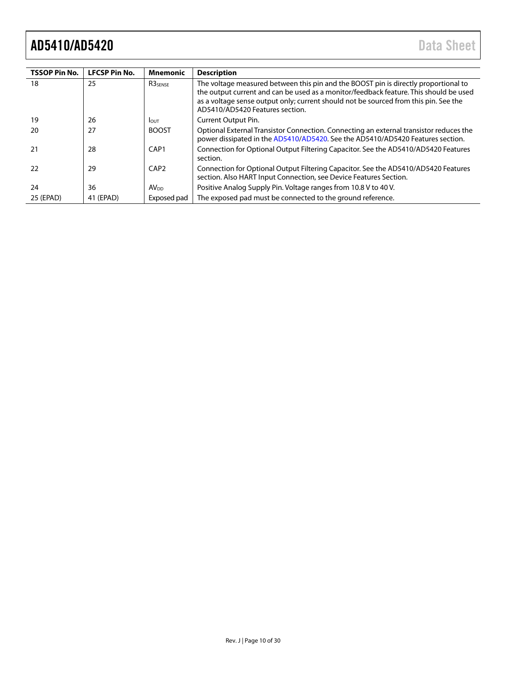| <b>TSSOP Pin No.</b> | <b>LFCSP Pin No.</b> | Mnemonic         | <b>Description</b>                                                                                                                                                                                                                                                                                      |
|----------------------|----------------------|------------------|---------------------------------------------------------------------------------------------------------------------------------------------------------------------------------------------------------------------------------------------------------------------------------------------------------|
| 18                   | 25                   | <b>R3SENSE</b>   | The voltage measured between this pin and the BOOST pin is directly proportional to<br>the output current and can be used as a monitor/feedback feature. This should be used<br>as a voltage sense output only; current should not be sourced from this pin. See the<br>AD5410/AD5420 Features section. |
| 19                   | 26                   | <b>I</b> OUT     | Current Output Pin.                                                                                                                                                                                                                                                                                     |
| 20                   | 27                   | <b>BOOST</b>     | Optional External Transistor Connection. Connecting an external transistor reduces the<br>power dissipated in the AD5410/AD5420. See the AD5410/AD5420 Features section.                                                                                                                                |
| 21                   | 28                   | CAP <sub>1</sub> | Connection for Optional Output Filtering Capacitor. See the AD5410/AD5420 Features<br>section.                                                                                                                                                                                                          |
| 22                   | 29                   | CAP <sub>2</sub> | Connection for Optional Output Filtering Capacitor. See the AD5410/AD5420 Features<br>section. Also HART Input Connection, see Device Features Section.                                                                                                                                                 |
| 24                   | 36                   | AV <sub>DD</sub> | Positive Analog Supply Pin. Voltage ranges from 10.8 V to 40 V.                                                                                                                                                                                                                                         |
| 25 (EPAD)            | 41 (EPAD)            | Exposed pad      | The exposed pad must be connected to the ground reference.                                                                                                                                                                                                                                              |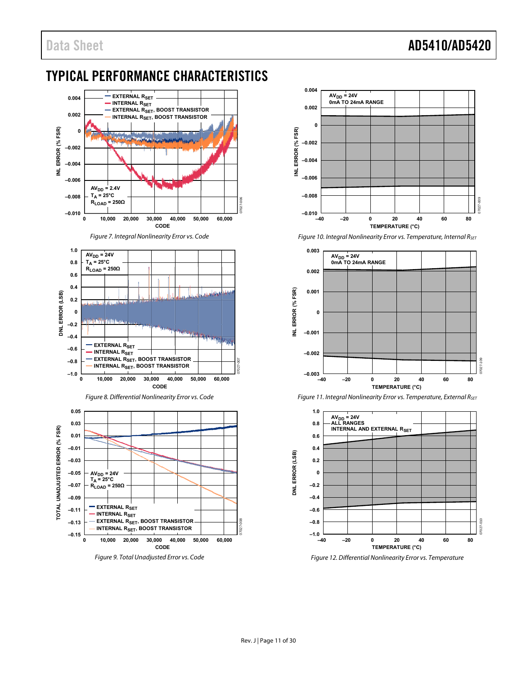# Data Sheet **AD5410/AD5420**

# <span id="page-10-0"></span>TYPICAL PERFORMANCE CHARACTERISTICS

<span id="page-10-1"></span>



Figure 10. Integral Nonlinearity Error vs. Temperature, Internal RsET



<span id="page-10-2"></span>

Figure 11. Integral Nonlinearity Error vs. Temperature, External RsET

<span id="page-10-3"></span>Figure 12. Differential Nonlinearity Error vs. Temperature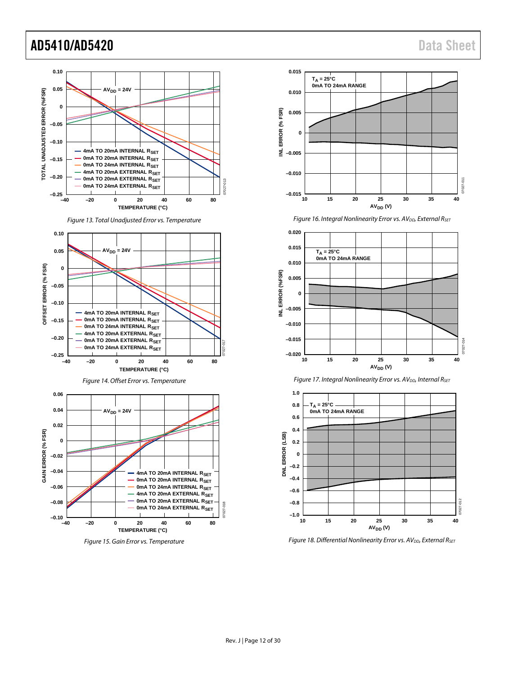

*Figure 13. Total Unadjusted Error vs. Temperature*





<span id="page-11-0"></span>*Figure 15. Gain Error vs. Temperature*



*Figure 16. Integral Nonlinearity Error vs. AV<sub>DD</sub>, External R<sub>SET</sub>* 







*Figure 18. Differential Nonlinearity Error vs. AV<sub>DD</sub>, External R<sub>SET</sub>*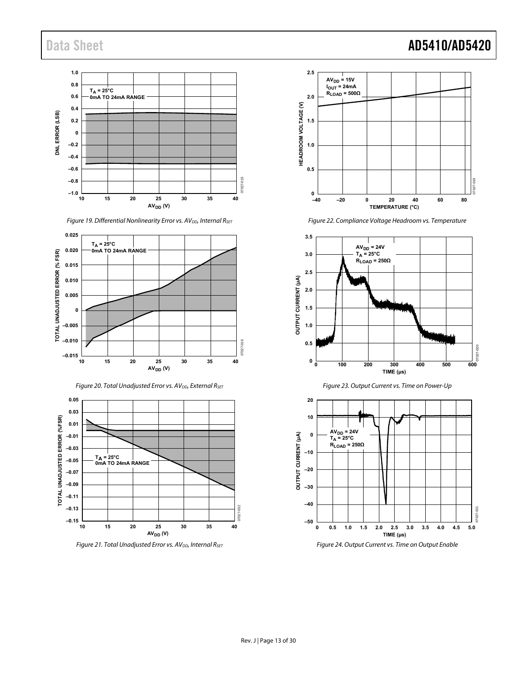#### **1.0 0.8 TA = 25°C 0mA TO 24mA RANGE 0.6 0.4** DNL ERROR (LSB) **DNL ERROR (LSB) 0.2 0 –0.2 –0.4 –0.6 –0.8** 07027-015 7027-015 **–1.0 10 15 20 25 30 35 40 AV<sub>DD</sub>** (V)



Figure 20. Total Unadjusted Error vs.  $AV_{DD}$ , External R<sub>SET</sub>



Figure 21. Total Unadjusted Error vs.  $AV_{DD}$ , Internal  $R_{SET}$ 



Figure 22. Compliance Voltage Headroom vs. Temperature







# Data Sheet **AD5410/AD5420**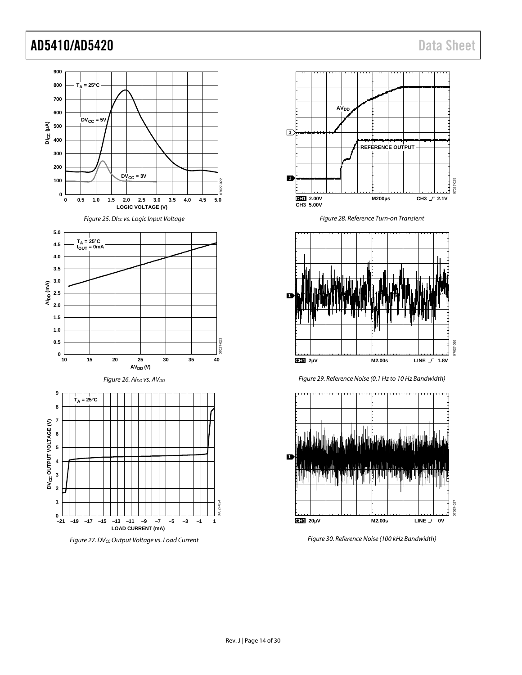<span id="page-13-0"></span>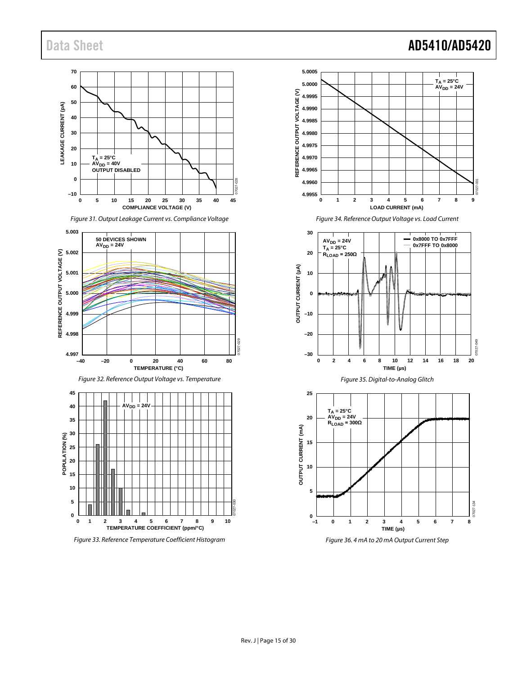#### **70 60 50** LEAKAGE CURRENT (pA) **LEAKAGE CURRENT (pA) 40 30 20** T<sub>A</sub> = 25°C<br>AV<sub>DD</sub> = 40V<br>OUTPUT DISABLED **10 0** 07027-028 **–10 0 5 10 15 20 25 30 35 40 45 COMPLIANCE VOLTAGE (V)**









*Figure 33. Reference Temperature Coefficient Histogram*



*Figure 34. Reference Output Voltage vs. Load Current*

<span id="page-14-0"></span>



<span id="page-14-1"></span>*Figure 36. 4 mA to 20 mA Output Current Step*

# Data Sheet **AD5410/AD5420**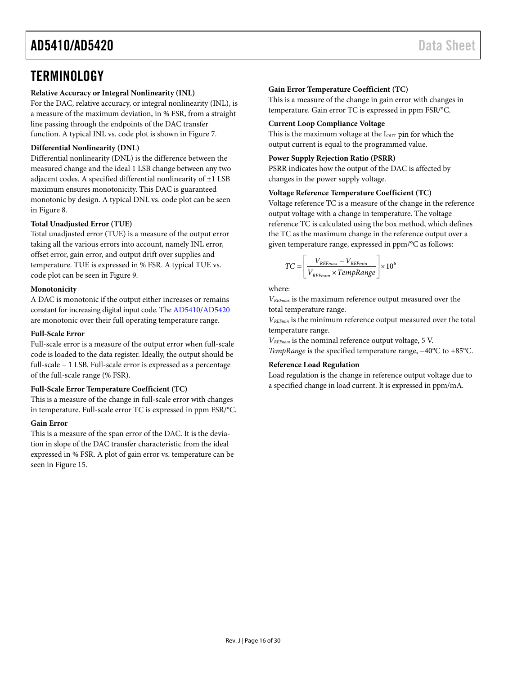# <span id="page-15-0"></span>**TERMINOLOGY**

#### **Relative Accuracy or Integral Nonlinearity (INL)**

For the DAC, relative accuracy, or integral nonlinearity (INL), is a measure of the maximum deviation, in % FSR, from a straight line passing through the endpoints of the DAC transfer function. A typical INL vs. code plot is shown i[n Figure 7.](#page-10-1)

#### **Differential Nonlinearity (DNL)**

Differential nonlinearity (DNL) is the difference between the measured change and the ideal 1 LSB change between any two adjacent codes. A specified differential nonlinearity of ±1 LSB maximum ensures monotonicity. This DAC is guaranteed monotonic by design. A typical DNL vs. code plot can be seen in [Figure 8.](#page-10-2)

#### **Total Unadjusted Error (TUE)**

Total unadjusted error (TUE) is a measure of the output error taking all the various errors into account, namely INL error, offset error, gain error, and output drift over supplies and temperature. TUE is expressed in % FSR. A typical TUE vs. code plot can be seen in [Figure 9.](#page-10-3)

#### **Monotonicity**

A DAC is monotonic if the output either increases or remains constant for increasing digital input code. The [AD5410](http://www.analog.com/AD5410?doc=AD5410_5420.pdf)[/AD5420](http://www.analog.com/AD5420?doc=AD5410_5420.pdf) are monotonic over their full operating temperature range.

#### **Full-Scale Error**

Full-scale error is a measure of the output error when full-scale code is loaded to the data register. Ideally, the output should be full-scale − 1 LSB. Full-scale error is expressed as a percentage of the full-scale range (% FSR).

#### **Full-Scale Error Temperature Coefficient (TC)**

This is a measure of the change in full-scale error with changes in temperature. Full-scale error TC is expressed in ppm FSR/°C.

#### **Gain Error**

This is a measure of the span error of the DAC. It is the deviation in slope of the DAC transfer characteristic from the ideal expressed in % FSR. A plot of gain error vs. temperature can be seen in [Figure 15.](#page-11-0)

#### **Gain Error Temperature Coefficient (TC)**

This is a measure of the change in gain error with changes in temperature. Gain error TC is expressed in ppm FSR/°C.

#### **Current Loop Compliance Voltage**

This is the maximum voltage at the I<sub>OUT</sub> pin for which the output current is equal to the programmed value.

#### **Power Supply Rejection Ratio (PSRR)**

PSRR indicates how the output of the DAC is affected by changes in the power supply voltage.

#### **Voltage Reference Temperature Coefficient (TC)**

Voltage reference TC is a measure of the change in the reference output voltage with a change in temperature. The voltage reference TC is calculated using the box method, which defines the TC as the maximum change in the reference output over a given temperature range, expressed in ppm/°C as follows:

$$
TC = \left[ \frac{V_{REFmax} - V_{REFmin}}{V_{REFnom} \times TempRange} \right] \times 10^6
$$

where:

*VREFmax* is the maximum reference output measured over the total temperature range.

*VREFmin* is the minimum reference output measured over the total temperature range.

*VREFnom* is the nominal reference output voltage, 5 V.

*TempRange* is the specified temperature range, -40°C to +85°C.

#### **Reference Load Regulation**

Load regulation is the change in reference output voltage due to a specified change in load current. It is expressed in ppm/mA.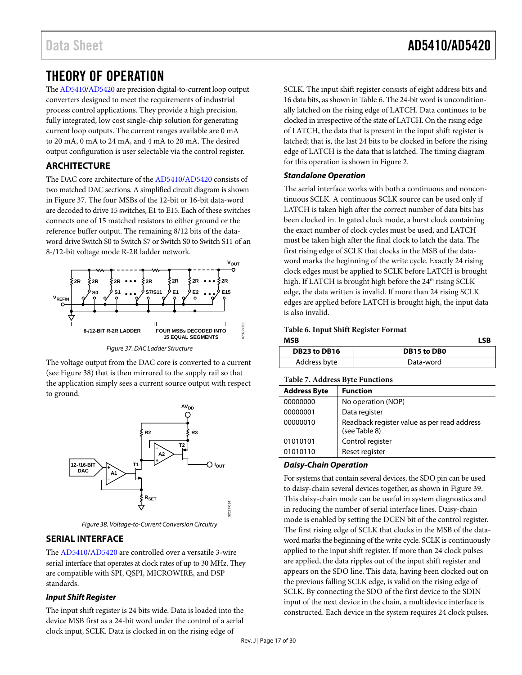# <span id="page-16-0"></span>THEORY OF OPERATION

Th[e AD5410/](http://www.analog.com/AD5410?doc=AD5410_5420.pdf)[AD5420](http://www.analog.com/AD5420?doc=AD5410_5420.pdf) are precision digital-to-current loop output converters designed to meet the requirements of industrial process control applications. They provide a high precision, fully integrated, low cost single-chip solution for generating current loop outputs. The current ranges available are 0 mA to 20 mA, 0 mA to 24 mA, and 4 mA to 20 mA. The desired output configuration is user selectable via the control register.

### <span id="page-16-1"></span>**ARCHITECTURE**

The DAC core architecture of the [AD5410/](http://www.analog.com/AD5410?doc=AD5410_5420.pdf)[AD5420](http://www.analog.com/AD5420?doc=AD5410_5420.pdf) consists of two matched DAC sections. A simplified circuit diagram is shown in [Figure 37.](#page-16-3) The four MSBs of the 12-bit or 16-bit data-word are decoded to drive 15 switches, E1 to E15. Each of these switches connects one of 15 matched resistors to either ground or the reference buffer output. The remaining 8/12 bits of the dataword drive Switch S0 to Switch S7 or Switch S0 to Switch S11 of an 8-/12-bit voltage mode R-2R ladder network.



*Figure 37. DAC Ladder Structure*

<span id="page-16-3"></span>The voltage output from the DAC core is converted to a current (see [Figure 38\)](#page-16-4) that is then mirrored to the supply rail so that the application simply sees a current source output with respect to ground.



*Figure 38. Voltage-to-Current Conversion Circuitry*

### <span id="page-16-4"></span><span id="page-16-2"></span>**SERIAL INTERFACE**

The [AD5410/](http://www.analog.com/AD5410?doc=AD5410_5420.pdf)[AD5420](http://www.analog.com/AD5420?doc=AD5410_5420.pdf) are controlled over a versatile 3-wire serial interface that operates at clock rates of up to 30 MHz. They are compatible with SPI, QSPI, MICROWIRE, and DSP standards.

#### *Input Shift Register*

The input shift register is 24 bits wide. Data is loaded into the device MSB first as a 24-bit word under the control of a serial clock input, SCLK. Data is clocked in on the rising edge of

SCLK. The input shift register consists of eight address bits and 16 data bits, as shown i[n Table 6.](#page-16-5) The 24-bit word is unconditionally latched on the rising edge of LATCH. Data continues to be clocked in irrespective of the state of LATCH. On the rising edge of LATCH, the data that is present in the input shift register is latched; that is, the last 24 bits to be clocked in before the rising edge of LATCH is the data that is latched. The timing diagram for this operation is shown i[n Figure 2.](#page-6-0)

#### *Standalone Operation*

The serial interface works with both a continuous and noncontinuous SCLK. A continuous SCLK source can be used only if LATCH is taken high after the correct number of data bits has been clocked in. In gated clock mode, a burst clock containing the exact number of clock cycles must be used, and LATCH must be taken high after the final clock to latch the data. The first rising edge of SCLK that clocks in the MSB of the dataword marks the beginning of the write cycle. Exactly 24 rising clock edges must be applied to SCLK before LATCH is brought high. If LATCH is brought high before the 24<sup>th</sup> rising SCLK edge, the data written is invalid. If more than 24 rising SCLK edges are applied before LATCH is brought high, the input data is also invalid.

<span id="page-16-5"></span>**Table 6. Input Shift Register Format MSB LSB**

| .            | ---         |
|--------------|-------------|
| DB23 to DB16 | DB15 to DB0 |
| Address byte | Data-word   |

#### **Table 7. Address Byte Functions**

| <b>Address Byte</b> | <b>Function</b>                                              |  |  |  |  |  |  |
|---------------------|--------------------------------------------------------------|--|--|--|--|--|--|
| 00000000            | No operation (NOP)                                           |  |  |  |  |  |  |
| 00000001            | Data register                                                |  |  |  |  |  |  |
| 00000010            | Readback register value as per read address<br>(see Table 8) |  |  |  |  |  |  |
| 01010101            | Control register                                             |  |  |  |  |  |  |
| 01010110            | Reset register                                               |  |  |  |  |  |  |

#### *Daisy-Chain Operation*

For systems that contain several devices, the SDO pin can be used to daisy-chain several devices together, as shown in [Figure 39.](#page-17-1)  This daisy-chain mode can be useful in system diagnostics and in reducing the number of serial interface lines. Daisy-chain mode is enabled by setting the DCEN bit of the control register. The first rising edge of SCLK that clocks in the MSB of the dataword marks the beginning of the write cycle. SCLK is continuously applied to the input shift register. If more than 24 clock pulses are applied, the data ripples out of the input shift register and appears on the SDO line. This data, having been clocked out on the previous falling SCLK edge, is valid on the rising edge of SCLK. By connecting the SDO of the first device to the SDIN input of the next device in the chain, a multidevice interface is constructed. Each device in the system requires 24 clock pulses.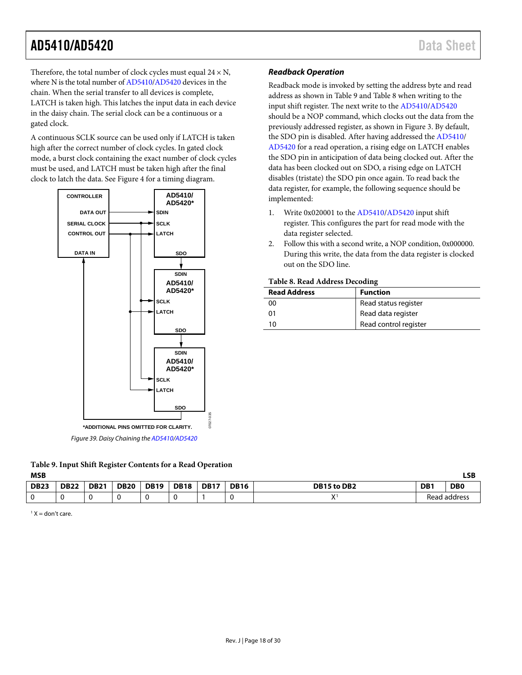Therefore, the total number of clock cycles must equal  $24 \times N$ , where N is the total number o[f AD5410](http://www.analog.com/AD5410?doc=AD5410_5420.pdf)[/AD5420](http://www.analog.com/AD5420?doc=AD5410_5420.pdf) devices in the chain. When the serial transfer to all devices is complete, LATCH is taken high. This latches the input data in each device in the daisy chain. The serial clock can be a continuous or a gated clock.

A continuous SCLK source can be used only if LATCH is taken high after the correct number of clock cycles. In gated clock mode, a burst clock containing the exact number of clock cycles must be used, and LATCH must be taken high after the final clock to latch the data. See [Figure 4](#page-6-2) for a timing diagram.



*Figure 39. Daisy Chaining th[e AD5410/](http://www.analog.com/AD5410?doc=AD5410_5420.pdf)[AD5420](http://www.analog.com/AD5420?doc=AD5410_5420.pdf)*

<span id="page-17-2"></span><span id="page-17-1"></span>

| Table 9. Input Shift Register Contents for a Read Operation |  |
|-------------------------------------------------------------|--|
| MCR                                                         |  |

#### *Readback Operation*

Readback mode is invoked by setting the address byte and read address as shown i[n Table 9](#page-17-2) and [Table 8](#page-17-0) when writing to the input shift register. The next write to the [AD5410](http://www.analog.com/AD5410?doc=AD5410_5420.pdf)[/AD5420](http://www.analog.com/AD5420?doc=AD5410_5420.pdf) should be a NOP command, which clocks out the data from the previously addressed register, as shown in [Figure 3.](#page-6-1) By default, the SDO pin is disabled. After having addressed th[e AD5410/](http://www.analog.com/AD5410?doc=AD5410_5420.pdf) [AD5420](http://www.analog.com/AD5420?doc=AD5410_5420.pdf) for a read operation, a rising edge on LATCH enables the SDO pin in anticipation of data being clocked out. After the data has been clocked out on SDO, a rising edge on LATCH disables (tristate) the SDO pin once again. To read back the data register, for example, the following sequence should be implemented:

- 1. Write 0x020001 to the [AD5410/](http://www.analog.com/AD5410?doc=AD5410_5420.pdf)[AD5420](http://www.analog.com/AD5420?doc=AD5410_5420.pdf) input shift register. This configures the part for read mode with the data register selected.
- 2. Follow this with a second write, a NOP condition, 0x000000. During this write, the data from the data register is clocked out on the SDO line.

#### <span id="page-17-0"></span>**Table 8. Read Address Decoding**

| <b>Read Address</b> | <b>Function</b>       |
|---------------------|-----------------------|
| 00                  | Read status register  |
| 01                  | Read data register    |
| 10                  | Read control register |

| <b>MSB</b>  |             |             |             |             |             |             |             |              |                 | LSB            |
|-------------|-------------|-------------|-------------|-------------|-------------|-------------|-------------|--------------|-----------------|----------------|
| <b>DB23</b> | <b>DB22</b> | <b>DB21</b> | <b>DB20</b> | <b>DB19</b> | <b>DB18</b> | <b>DB17</b> | <b>DB16</b> | DB15 to DB2  | DB <sub>1</sub> | D <sub>B</sub> |
|             |             |             |             |             |             |             |             | $\mathbf{v}$ |                 | Read address   |

 $1 X =$  don't care.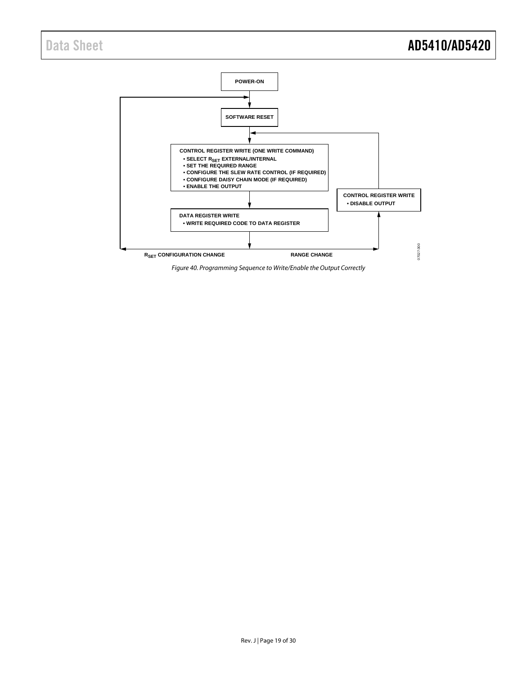

<span id="page-18-0"></span>*Figure 40. Programming Sequence to Write/Enable the Output Correctly*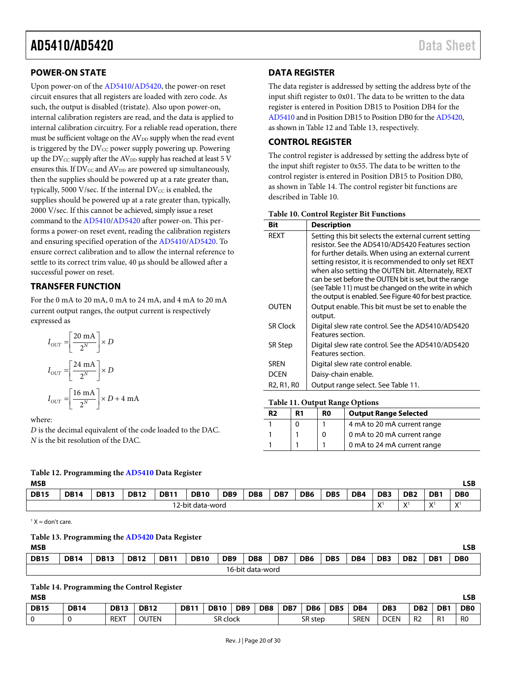#### <span id="page-19-0"></span>**POWER-ON STATE**

Upon power-on of th[e AD5410/](http://www.analog.com/AD5410?doc=AD5410_5420.pdf)[AD5420,](http://www.analog.com/AD5420?doc=AD5410_5420.pdf) the power-on reset circuit ensures that all registers are loaded with zero code. As such, the output is disabled (tristate). Also upon power-on, internal calibration registers are read, and the data is applied to internal calibration circuitry. For a reliable read operation, there must be sufficient voltage on the AV<sub>DD</sub> supply when the read event is triggered by the  $DV_{CC}$  power supply powering up. Powering up the  $DV_{CC}$  supply after the  $AV_{DD}$  supply has reached at least 5 V ensures this. If  $DV_{CC}$  and  $AV_{DD}$  are powered up simultaneously, then the supplies should be powered up at a rate greater than, typically, 5000 V/sec. If the internal  $DV_{CC}$  is enabled, the supplies should be powered up at a rate greater than, typically, 2000 V/sec. If this cannot be achieved, simply issue a reset command to the [AD5410/](http://www.analog.com/AD5410?doc=AD5410_5420.pdf)[AD5420](http://www.analog.com/AD5420?doc=AD5410_5420.pdf) after power-on. This performs a power-on reset event, reading the calibration registers and ensuring specified operation of th[e AD5410/](http://www.analog.com/AD5410?doc=AD5410_5420.pdf)[AD5420.](http://www.analog.com/AD5420?doc=AD5410_5420.pdf) To ensure correct calibration and to allow the internal reference to settle to its correct trim value, 40 µs should be allowed after a successful power on reset.

#### <span id="page-19-1"></span>**TRANSFER FUNCTION**

For the 0 mA to 20 mA, 0 mA to 24 mA, and 4 mA to 20 mA current output ranges, the output current is respectively expressed as

$$
I_{OUT} = \left[\frac{20 \text{ mA}}{2^N}\right] \times D
$$

$$
I_{OUT} = \left[\frac{24 \text{ mA}}{2^N}\right] \times D
$$

$$
I_{OUT} = \left[\frac{16 \text{ mA}}{2^N}\right] \times D + 4 \text{ mA}
$$

where:

*D* is the decimal equivalent of the code loaded to the DAC. *N* is the bit resolution of the DAC.

#### <span id="page-19-4"></span>**Table 12. Programming th[e AD5410](http://www.analog.com/AD5410?doc=AD5410_5420.pdf) Data Register**

| I | I |
|---|---|

| <b>MSB</b>  |             |             |             |             |                  |                 |                 |     |                 |                 |     |                           |                 |                           | LSB            |
|-------------|-------------|-------------|-------------|-------------|------------------|-----------------|-----------------|-----|-----------------|-----------------|-----|---------------------------|-----------------|---------------------------|----------------|
| <b>DB15</b> | <b>DB14</b> | <b>DB13</b> | <b>DB12</b> | <b>DB11</b> | <b>DB10</b>      | DB <sub>9</sub> | DB <sub>8</sub> | DB7 | DB <sub>6</sub> | DB <sub>5</sub> | DB4 | DB <sub>3</sub>           | DB <sub>2</sub> | DB <sub>1</sub>           | D <sub>B</sub> |
|             |             |             |             |             | 12-bit data-word |                 |                 |     |                 |                 |     | $\mathbf{v}$<br>$\lambda$ | v<br>$\lambda$  | $\mathbf{v}$<br>$\lambda$ | $\mathbf{v}$   |

<span id="page-19-5"></span> $1 X =$  don't care.

#### **Table 13. Programming th[e AD5420](http://www.analog.com/AD5420?doc=AD5410_5420.pdf) Data Register**

| <b>MSB</b>  |                  |             |             |             |             |                 |                 |     |     |                 |     |                 |                 |                 | LSB            |
|-------------|------------------|-------------|-------------|-------------|-------------|-----------------|-----------------|-----|-----|-----------------|-----|-----------------|-----------------|-----------------|----------------|
| <b>DB15</b> | <b>DB14</b>      | <b>DB13</b> | <b>DB12</b> | <b>DB11</b> | <b>DB10</b> | DB <sub>9</sub> | DB <sub>8</sub> | DB7 | DB6 | DB <sub>5</sub> | DB4 | DB <sub>3</sub> | DB <sub>2</sub> | DB <sub>1</sub> | D <sub>B</sub> |
|             | 16-bit data-word |             |             |             |             |                 |                 |     |     |                 |     |                 |                 |                 |                |

#### <span id="page-19-6"></span>**Table 14. Programming the Control Register**

| <b>MSB</b>  |             |             |              |          |             |                 |                 |         |                 |                 |             | LSB             |                 |                 |                |
|-------------|-------------|-------------|--------------|----------|-------------|-----------------|-----------------|---------|-----------------|-----------------|-------------|-----------------|-----------------|-----------------|----------------|
| <b>DB15</b> | <b>DB14</b> | <b>DB13</b> | <b>DB12</b>  | DB11     | <b>DB10</b> | DB <sub>9</sub> | DB <sub>8</sub> | DB7     | DB <sub>6</sub> | DB <sub>5</sub> | DB4         | DB <sub>3</sub> | DB <sub>2</sub> | DB <sub>1</sub> | D <sub>B</sub> |
|             |             | <b>REXT</b> | <b>OUTEN</b> | SR clock |             |                 |                 | SR step |                 | <b>SREN</b>     | <b>DCEN</b> | R <sub>2</sub>  | R <sub>1</sub>  | R <sub>0</sub>  |                |

### <span id="page-19-2"></span>**DATA REGISTER**

The data register is addressed by setting the address byte of the input shift register to 0x01. The data to be written to the data register is entered in Position DB15 to Position DB4 for the [AD5410](http://www.analog.com/AD5410?doc=AD5410_5420.pdf) and in Position DB15 to Position DB0 for th[e AD5420,](http://www.analog.com/AD5420?doc=AD5410_5420.pdf)  as shown i[n Table 12](#page-19-4) an[d Table 13,](#page-19-5) respectively.

#### <span id="page-19-3"></span>**CONTROL REGISTER**

The control register is addressed by setting the address byte of the input shift register to 0x55. The data to be written to the control register is entered in Position DB15 to Position DB0, as shown i[n Table 14.](#page-19-6) The control register bit functions are described in [Table 10.](#page-19-7)

<span id="page-19-7"></span>

| Bit                                              | <b>Description</b>                                                                                                                                                                                                                                                                                                                                                                                                                                         |
|--------------------------------------------------|------------------------------------------------------------------------------------------------------------------------------------------------------------------------------------------------------------------------------------------------------------------------------------------------------------------------------------------------------------------------------------------------------------------------------------------------------------|
| <b>RFXT</b>                                      | Setting this bit selects the external current setting<br>resistor. See the AD5410/AD5420 Features section<br>for further details. When using an external current<br>setting resistor, it is recommended to only set REXT<br>when also setting the OUTEN bit. Alternately, REXT<br>can be set before the OUTEN bit is set, but the range<br>(see Table 11) must be changed on the write in which<br>the output is enabled. See Figure 40 for best practice. |
| <b>OUTFN</b>                                     | Output enable. This bit must be set to enable the<br>output.                                                                                                                                                                                                                                                                                                                                                                                               |
| <b>SR Clock</b>                                  | Digital slew rate control. See the AD5410/AD5420<br>Features section.                                                                                                                                                                                                                                                                                                                                                                                      |
| <b>SR Step</b>                                   | Digital slew rate control. See the AD5410/AD5420<br>Features section.                                                                                                                                                                                                                                                                                                                                                                                      |
| <b>SRFN</b>                                      | Digital slew rate control enable.                                                                                                                                                                                                                                                                                                                                                                                                                          |
| DCEN                                             | Daisy-chain enable.                                                                                                                                                                                                                                                                                                                                                                                                                                        |
| R <sub>2</sub> , R <sub>1</sub> , R <sub>0</sub> | Output range select. See Table 11.                                                                                                                                                                                                                                                                                                                                                                                                                         |

#### <span id="page-19-8"></span>**Table 11. Output Range Options**

| R <sub>2</sub> | R1 | R <sub>0</sub> | <b>Output Range Selected</b> |
|----------------|----|----------------|------------------------------|
|                |    |                | 4 mA to 20 mA current range  |
|                |    |                | 0 mA to 20 mA current range  |
|                |    |                | 0 mA to 24 mA current range  |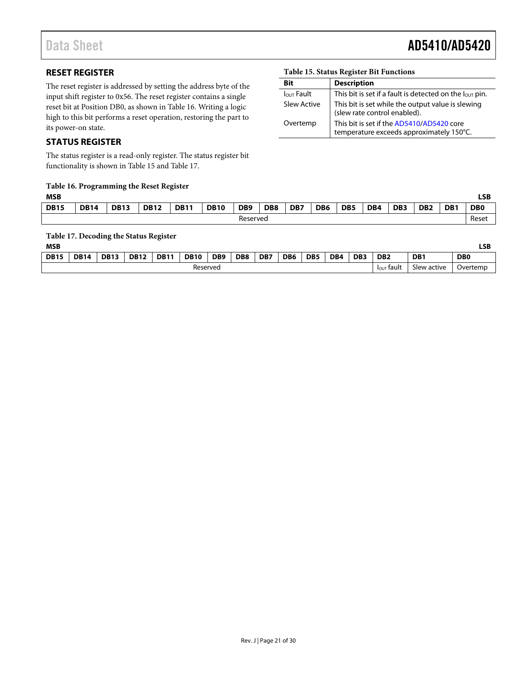# Data Sheet **AD5410/AD5420**

### <span id="page-20-0"></span>**RESET REGISTER**

The reset register is addressed by setting the address byte of the input shift register to 0x56. The reset register contains a single reset bit at Position DB0, as shown in [Table 16.](#page-20-2) Writing a logic high to this bit performs a reset operation, restoring the part to its power-on state.

#### <span id="page-20-1"></span>**STATUS REGISTER**

The status register is a read-only register. The status register bit functionality is shown in [Table 15](#page-20-3) an[d Table 17.](#page-20-4)

# <span id="page-20-2"></span>**Table 16. Programming the Reset Register**

| <b>MSB</b>  |             |             |             |             |             |                 |                 |     |                 |                 |     |                 |                 |                 | LSB            |
|-------------|-------------|-------------|-------------|-------------|-------------|-----------------|-----------------|-----|-----------------|-----------------|-----|-----------------|-----------------|-----------------|----------------|
| <b>DB15</b> | <b>DB14</b> | <b>DB13</b> | <b>DB12</b> | <b>DB11</b> | <b>DB10</b> | DB <sub>9</sub> | DB <sub>8</sub> | DB7 | DB <sub>6</sub> | DB <sub>5</sub> | DB4 | DB <sub>3</sub> | DB <sub>2</sub> | DB <sub>1</sub> | D <sub>B</sub> |
|             |             |             |             |             |             | Reserved        |                 |     |                 |                 |     |                 |                 |                 | Reset          |

<span id="page-20-4"></span>**Table 17. Decoding the Status Register**

| MSB         |             |             |             |             |             |                 |                 |     |                 |                 |     |                 |                        |                 | LSB            |
|-------------|-------------|-------------|-------------|-------------|-------------|-----------------|-----------------|-----|-----------------|-----------------|-----|-----------------|------------------------|-----------------|----------------|
| <b>DB15</b> | <b>DB14</b> | <b>DB13</b> | <b>DB12</b> | <b>DB11</b> | <b>DB10</b> | DB <sub>9</sub> | DB <sub>8</sub> | DB7 | DB <sub>6</sub> | DB <sub>5</sub> | DB4 | DB <sub>3</sub> | DB <sub>2</sub>        | DB <sub>1</sub> | D <sub>B</sub> |
|             |             |             |             |             | Reserved    |                 |                 |     |                 |                 |     |                 | $I_{\text{OUT}}$ fault | Slew active     | Overtemp       |

#### <span id="page-20-3"></span>**Table 15. Status Register Bit Functions**

| Bit               | <b>Description</b>                                                                    |
|-------------------|---------------------------------------------------------------------------------------|
| <b>Jour Fault</b> | This bit is set if a fault is detected on the $I_{\text{OUT}}$ pin.                   |
| Slew Active       | This bit is set while the output value is slewing<br>(slew rate control enabled).     |
| Overtemp          | This bit is set if the AD5410/AD5420 core<br>temperature exceeds approximately 150°C. |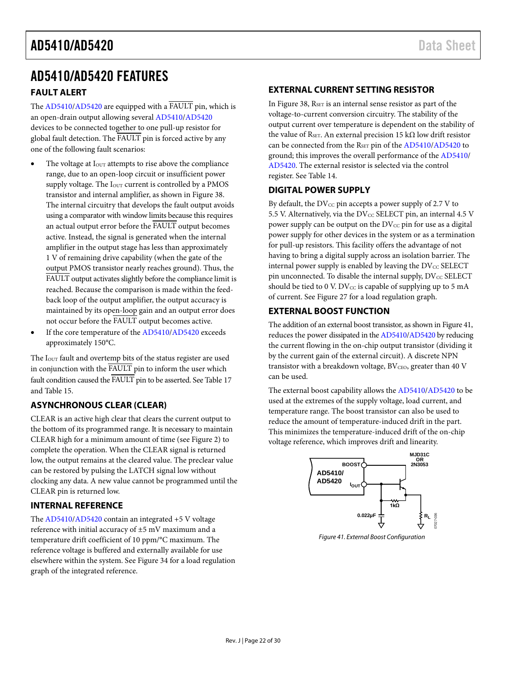# <span id="page-21-0"></span>AD5410/AD5420 FEATURES

#### <span id="page-21-1"></span>**FAULT ALERT**

The [AD5410/](http://www.analog.com/AD5410?doc=AD5410_5420.pdf)[AD5420](http://www.analog.com/AD5420?doc=AD5410_5420.pdf) are equipped with a FAULT pin, which is an open-drain output allowing severa[l AD5410/](http://www.analog.com/AD5410?doc=AD5410_5420.pdf)[AD5420](http://www.analog.com/AD5420?doc=AD5410_5420.pdf) devices to be connected together to one pull-up resistor for global fault detection. The FAULT pin is forced active by any one of the following fault scenarios:

- The voltage at  $I<sub>OUT</sub>$  attempts to rise above the compliance range, due to an open-loop circuit or insufficient power supply voltage. The I<sub>OUT</sub> current is controlled by a PMOS transistor and internal amplifier, as shown i[n Figure 38.](#page-16-4)  The internal circuitry that develops the fault output avoids using a comparator with window limits because this requires an actual output error before the FAULT output becomes active. Instead, the signal is generated when the internal amplifier in the output stage has less than approximately 1 V of remaining drive capability (when the gate of the output PMOS transistor nearly reaches ground). Thus, the FAULT output activates slightly before the compliance limit is reached. Because the comparison is made within the feedback loop of the output amplifier, the output accuracy is maintained by its open-loop gain and an output error does not occur before the FAULT output becomes active.
- If the core temperature of the [AD5410/](http://www.analog.com/AD5410?doc=AD5410_5420.pdf)[AD5420](http://www.analog.com/AD5420?doc=AD5410_5420.pdf) exceeds approximately 150°C.

The  $I<sub>OUT</sub>$  fault and overtemp bits of the status register are used in conjunction with the FAULT pin to inform the user which fault condition caused the FAULT pin to be asserted. Se[e Table 17](#page-20-4) an[d Table 15.](#page-20-3)

### <span id="page-21-2"></span>**ASYNCHRONOUS CLEAR (CLEAR)**

CLEAR is an active high clear that clears the current output to the bottom of its programmed range. It is necessary to maintain CLEAR high for a minimum amount of time (see [Figure 2\)](#page-6-0) to complete the operation. When the CLEAR signal is returned low, the output remains at the cleared value. The preclear value can be restored by pulsing the LATCH signal low without clocking any data. A new value cannot be programmed until the CLEAR pin is returned low.

#### <span id="page-21-3"></span>**INTERNAL REFERENCE**

The [AD5410/](http://www.analog.com/AD5410?doc=AD5410_5420.pdf)[AD5420](http://www.analog.com/AD5420?doc=AD5410_5420.pdf) contain an integrated +5 V voltage reference with initial accuracy of ±5 mV maximum and a temperature drift coefficient of 10 ppm/°C maximum. The reference voltage is buffered and externally available for use elsewhere within the system. Se[e Figure 34](#page-14-0) for a load regulation graph of the integrated reference.

#### <span id="page-21-4"></span>**EXTERNAL CURRENT SETTING RESISTOR**

In [Figure 38,](#page-16-4)  $R_{\text{SET}}$  is an internal sense resistor as part of the voltage-to-current conversion circuitry. The stability of the output current over temperature is dependent on the stability of the value of R<sub>SET</sub>. An external precision 15 kΩ low drift resistor can be connected from the RSET pin of the [AD5410/](http://www.analog.com/AD5410?doc=AD5410_5420.pdf)[AD5420](http://www.analog.com/AD5420?doc=AD5410_5420.pdf) to ground; this improves the overall performance of the [AD5410/](http://www.analog.com/AD5410?doc=AD5410_5420.pdf) [AD5420.](http://www.analog.com/AD5420?doc=AD5410_5420.pdf) The external resistor is selected via the control register. See [Table 14.](#page-19-6)

#### <span id="page-21-5"></span>**DIGITAL POWER SUPPLY**

By default, the  $DV_{CC}$  pin accepts a power supply of 2.7 V to 5.5 V. Alternatively, via the  $DV_{CC}$  SELECT pin, an internal 4.5 V power supply can be output on the  $DV_{CC}$  pin for use as a digital power supply for other devices in the system or as a termination for pull-up resistors. This facility offers the advantage of not having to bring a digital supply across an isolation barrier. The internal power supply is enabled by leaving the  $\text{DV}_{\text{CC}}$  SELECT pin unconnected. To disable the internal supply,  $\text{DV}_{\text{CC}}$  SELECT should be tied to 0 V. DV $_{\text{CC}}$  is capable of supplying up to 5 mA of current. See [Figure 27](#page-13-0) for a load regulation graph.

#### <span id="page-21-6"></span>**EXTERNAL BOOST FUNCTION**

The addition of an external boost transistor, as shown i[n Figure 41,](#page-21-7)  reduces the power dissipated in th[e AD5410](http://www.analog.com/AD5410?doc=AD5410_5420.pdf)[/AD5420](http://www.analog.com/AD5420?doc=AD5410_5420.pdf) by reducing the current flowing in the on-chip output transistor (dividing it by the current gain of the external circuit). A discrete NPN transistor with a breakdown voltage,  $BV<sub>CEO</sub>$ , greater than 40 V can be used.

The external boost capability allows the [AD5410/](http://www.analog.com/AD5410?doc=AD5410_5420.pdf)[AD5420](http://www.analog.com/AD5420?doc=AD5410_5420.pdf) to be used at the extremes of the supply voltage, load current, and temperature range. The boost transistor can also be used to reduce the amount of temperature-induced drift in the part. This minimizes the temperature-induced drift of the on-chip voltage reference, which improves drift and linearity.



<span id="page-21-7"></span>*Figure 41. External Boost Configuration*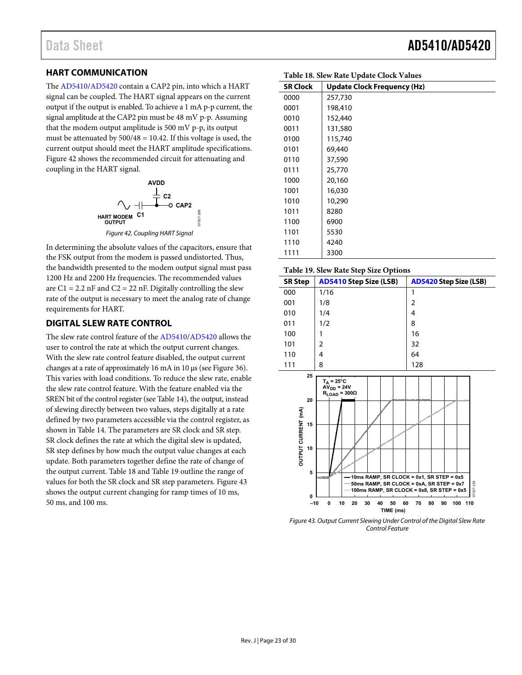### <span id="page-22-0"></span>**HART COMMUNICATION**

Th[e AD5410](http://www.analog.com/AD5410?doc=AD5410_5420.pdf)[/AD5420](http://www.analog.com/AD5420?doc=AD5410_5420.pdf) contain a CAP2 pin, into which a HART signal can be coupled. The HART signal appears on the current output if the output is enabled. To achieve a 1 mA p-p current, the signal amplitude at the CAP2 pin must be 48 mV p-p. Assuming that the modem output amplitude is 500 mV p-p, its output must be attenuated by  $500/48 = 10.42$ . If this voltage is used, the current output should meet the HART amplitude specifications. [Figure 42 s](#page-22-2)hows the recommended circuit for attenuating and coupling in the HART signal.



Figure 42. Coupling HART Signal

<span id="page-22-2"></span>In determining the absolute values of the capacitors, ensure that the FSK output from the modem is passed undistorted. Thus, the bandwidth presented to the modem output signal must pass 1200 Hz and 2200 Hz frequencies. The recommended values are  $C1 = 2.2$  nF and  $C2 = 22$  nF. Digitally controlling the slew rate of the output is necessary to meet the analog rate of change requirements for HART.

#### <span id="page-22-1"></span>**DIGITAL SLEW RATE CONTROL**

The slew rate control feature of the [AD5410/](http://www.analog.com/AD5410?doc=AD5410_5420.pdf)[AD5420 a](http://www.analog.com/AD5420?doc=AD5410_5420.pdf)llows the user to control the rate at which the output current changes. With the slew rate control feature disabled, the output current changes at a rate of approximately 16 mA in 10 μs (se[e Figure 36\)](#page-14-1). This varies with load conditions. To reduce the slew rate, enable the slew rate control feature. With the feature enabled via the SREN bit of the control register (se[e Table 14\)](#page-19-6), the output, instead of slewing directly between two values, steps digitally at a rate defined by two parameters accessible via the control register, as shown in [Table 14.](#page-19-6) The parameters are SR clock and SR step. SR clock defines the rate at which the digital slew is updated, SR step defines by how much the output value changes at each update. Both parameters together define the rate of change of the output current. [Table 18 a](#page-22-3)nd [Table 19 o](#page-22-4)utline the range of values for both the SR clock and SR step parameters[. Figure 43](#page-22-5)  shows the output current changing for ramp times of 10 ms, 50 ms, and 100 ms.

Data Sheet **AD5410/AD5420** 

| Table To. Siew Kate Opuate Clock Values |                                    |  |  |  |  |  |
|-----------------------------------------|------------------------------------|--|--|--|--|--|
| <b>SR Clock</b>                         | <b>Update Clock Frequency (Hz)</b> |  |  |  |  |  |
| 0000                                    | 257,730                            |  |  |  |  |  |
| 0001                                    | 198,410                            |  |  |  |  |  |
| 0010                                    | 152,440                            |  |  |  |  |  |
| 0011                                    | 131,580                            |  |  |  |  |  |
| 0100                                    | 115,740                            |  |  |  |  |  |
| 0101                                    | 69,440                             |  |  |  |  |  |
| 0110                                    | 37,590                             |  |  |  |  |  |
| 0111                                    | 25,770                             |  |  |  |  |  |
| 1000                                    | 20,160                             |  |  |  |  |  |
| 1001                                    | 16,030                             |  |  |  |  |  |
| 1010                                    | 10,290                             |  |  |  |  |  |
| 1011                                    | 8280                               |  |  |  |  |  |
| 1100                                    | 6900                               |  |  |  |  |  |
| 1101                                    | 5530                               |  |  |  |  |  |
| 1110                                    | 4240                               |  |  |  |  |  |
| 1111                                    | 3300                               |  |  |  |  |  |

#### <span id="page-22-4"></span>**Table 19. Slew Rate Step Size Options**

<span id="page-22-3"></span>**Table 18. Slew Rate Update Clock Values** 

| <b>SR Step</b>                                                 | <b>AD5410 Step Size (LSB)</b>                                                                                                                                              | <b>AD5420 Step Size (LSB)</b>                                                                                                   |
|----------------------------------------------------------------|----------------------------------------------------------------------------------------------------------------------------------------------------------------------------|---------------------------------------------------------------------------------------------------------------------------------|
| 000                                                            | 1/16                                                                                                                                                                       | 1                                                                                                                               |
| 001                                                            | 1/8                                                                                                                                                                        | 2                                                                                                                               |
| 010                                                            | 1/4                                                                                                                                                                        | 4                                                                                                                               |
| 011                                                            | 1/2                                                                                                                                                                        | 8                                                                                                                               |
| 100                                                            | 1                                                                                                                                                                          | 16                                                                                                                              |
| 101                                                            | 2                                                                                                                                                                          | 32                                                                                                                              |
| 110                                                            | 4                                                                                                                                                                          | 64                                                                                                                              |
| 111                                                            | 8                                                                                                                                                                          | 128                                                                                                                             |
| 25<br>20<br>OUTPUT CURRENT (mA)<br>15<br>10<br>5<br>0<br>$-10$ | $T_A = 25^{\circ}C$<br>$AVDD = 24V$<br>$R_{\text{LOAD}} = 300\Omega$<br>$-10$ ms RAMP, SR CLOCK = 0x1, SR STEP = 0x5<br>0<br>10<br>20<br>30<br>40<br>50<br>60<br>TIME (ms) | 50ms RAMP, SR CLOCK = 0xA, SR STEP = 0x7<br>07027-139<br>100ms RAMP, SR CLOCK = 0x8, SR STEP = 0x5<br>70<br>80<br>100 110<br>90 |

<span id="page-22-5"></span>Figure 43. Output Current Slewing Under Control of the Digital Slew Rate Control Feature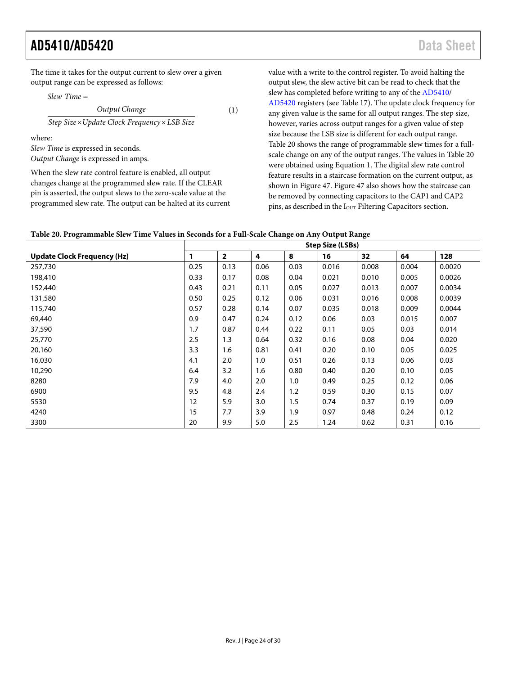The time it takes for the output current to slew over a given output range can be expressed as follows:

*Slew Time* =

$$
(1)
$$

 $Step Size \times Update$  *Clock Frequency*  $\times$  *LSB Size Output Change*

where:

*Slew Time* is expressed in seconds. *Output Change* is expressed in amps.

When the slew rate control feature is enabled, all output changes change at the programmed slew rate. If the CLEAR pin is asserted, the output slews to the zero-scale value at the programmed slew rate. The output can be halted at its current value with a write to the control register. To avoid halting the output slew, the slew active bit can be read to check that the slew has completed before writing to any of th[e AD5410/](http://www.analog.com/AD5410?doc=AD5410_5420.pdf) [AD5420](http://www.analog.com/AD5420?doc=AD5410_5420.pdf) registers (see [Table 17\)](#page-20-4). The update clock frequency for any given value is the same for all output ranges. The step size, however, varies across output ranges for a given value of step size because the LSB size is different for each output range. [Table 20](#page-23-0) shows the range of programmable slew times for a fullscale change on any of the output ranges. The values i[n Table 20](#page-23-0) were obtained using Equation 1. The digital slew rate control feature results in a staircase formation on the current output, as shown in [Figure 47. Figure 47](#page-24-2) also shows how the staircase can be removed by connecting capacitors to the CAP1 and CAP2 pins, as described in the I<sub>OUT</sub> [Filtering Capacitors](#page-24-0) section.

<span id="page-23-0"></span>

| Table 20. Programmable Slew Time Values in Seconds for a Full-Scale Change on Any Output Range |  |  |  |  |
|------------------------------------------------------------------------------------------------|--|--|--|--|
|------------------------------------------------------------------------------------------------|--|--|--|--|

|                                    | <b>Step Size (LSBs)</b> |                |      |      |       |       |       |        |
|------------------------------------|-------------------------|----------------|------|------|-------|-------|-------|--------|
| <b>Update Clock Frequency (Hz)</b> | $\mathbf{1}$            | $\overline{2}$ | 4    | 8    | 16    | 32    | 64    | 128    |
| 257,730                            | 0.25                    | 0.13           | 0.06 | 0.03 | 0.016 | 0.008 | 0.004 | 0.0020 |
| 198,410                            | 0.33                    | 0.17           | 0.08 | 0.04 | 0.021 | 0.010 | 0.005 | 0.0026 |
| 152,440                            | 0.43                    | 0.21           | 0.11 | 0.05 | 0.027 | 0.013 | 0.007 | 0.0034 |
| 131,580                            | 0.50                    | 0.25           | 0.12 | 0.06 | 0.031 | 0.016 | 0.008 | 0.0039 |
| 115,740                            | 0.57                    | 0.28           | 0.14 | 0.07 | 0.035 | 0.018 | 0.009 | 0.0044 |
| 69,440                             | 0.9                     | 0.47           | 0.24 | 0.12 | 0.06  | 0.03  | 0.015 | 0.007  |
| 37,590                             | 1.7                     | 0.87           | 0.44 | 0.22 | 0.11  | 0.05  | 0.03  | 0.014  |
| 25,770                             | 2.5                     | 1.3            | 0.64 | 0.32 | 0.16  | 0.08  | 0.04  | 0.020  |
| 20,160                             | 3.3                     | 1.6            | 0.81 | 0.41 | 0.20  | 0.10  | 0.05  | 0.025  |
| 16,030                             | 4.1                     | 2.0            | 1.0  | 0.51 | 0.26  | 0.13  | 0.06  | 0.03   |
| 10,290                             | 6.4                     | 3.2            | 1.6  | 0.80 | 0.40  | 0.20  | 0.10  | 0.05   |
| 8280                               | 7.9                     | 4.0            | 2.0  | 1.0  | 0.49  | 0.25  | 0.12  | 0.06   |
| 6900                               | 9.5                     | 4.8            | 2.4  | 1.2  | 0.59  | 0.30  | 0.15  | 0.07   |
| 5530                               | 12                      | 5.9            | 3.0  | 1.5  | 0.74  | 0.37  | 0.19  | 0.09   |
| 4240                               | 15                      | 7.7            | 3.9  | 1.9  | 0.97  | 0.48  | 0.24  | 0.12   |
| 3300                               | 20                      | 9.9            | 5.0  | 2.5  | 1.24  | 0.62  | 0.31  | 0.16   |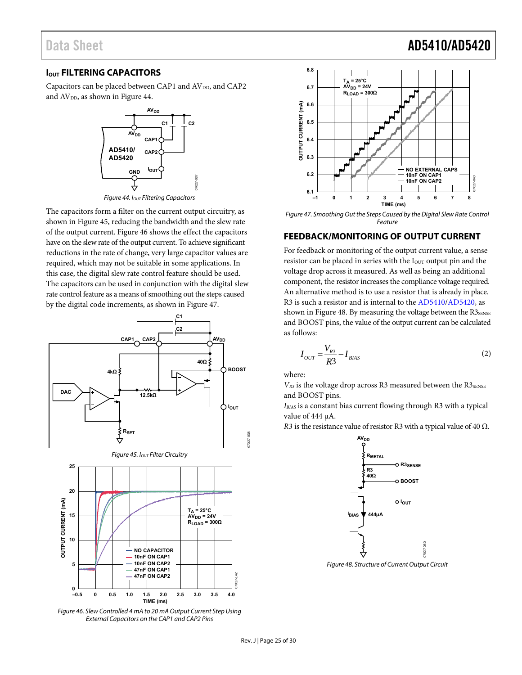# Data Sheet **AD5410/AD5420**

#### <span id="page-24-0"></span>**IOUT FILTERING CAPACITORS**

Capacitors can be placed between CAP1 and AV<sub>DD</sub>, and CAP2 and  $AV<sub>DD</sub>$ , as shown in Figure 44.



Figure 44.  $I_{OUT}$  Filtering Capacitors

<span id="page-24-3"></span>The capacitors form a filter on the current output circuitry, as shown in [Figure 45,](#page-24-4) reducing the bandwidth and the slew rate of the output current[. Figure 46](#page-24-5) shows the effect the capacitors have on the slew rate of the output current. To achieve significant reductions in the rate of change, very large capacitor values are required, which may not be suitable in some applications. In this case, the digital slew rate control feature should be used. The capacitors can be used in conjunction with the digital slew rate control feature as a means of smoothing out the steps caused by the digital code increments, as shown in [Figure 47.](#page-24-2) 

<span id="page-24-4"></span>

<span id="page-24-5"></span>Figure 46. Slew Controlled 4 mA to 20 mA Output Current Step Using External Capacitors on the CAP1 and CAP2 Pins



<span id="page-24-2"></span>Figure 47. Smoothing Out the Steps Caused by the Digital Slew Rate Control Feature

#### <span id="page-24-1"></span>**FEEDBACK/MONITORING OF OUTPUT CURRENT**

For feedback or monitoring of the output current value, a sense resistor can be placed in series with the I<sub>OUT</sub> output pin and the voltage drop across it measured. As well as being an additional component, the resistor increases the compliance voltage required. An alternative method is to use a resistor that is already in place. R3 is such a resistor and is internal to th[e AD5410](http://www.analog.com/AD5410?doc=AD5410_5420.pdf)[/AD5420,](http://www.analog.com/AD5420?doc=AD5410_5420.pdf) as shown in [Figure 48. B](#page-24-6)y measuring the voltage between the  $R3_{\text{SENSE}}$ and BOOST pins, the value of the output current can be calculated as follows:

$$
I_{OUT} = \frac{V_{R3}}{R3} - I_{BIAS}
$$
 (2)

where:

 $V_{R3}$  is the voltage drop across R3 measured between the R3<sub>SENSE</sub> and BOOST pins.

*IBIAS* is a constant bias current flowing through R3 with a typical value of 444 μA.

*R3* is the resistance value of resistor R3 with a typical value of 40  $\Omega$ .



<span id="page-24-6"></span>Figure 48. Structure of Current Output Circuit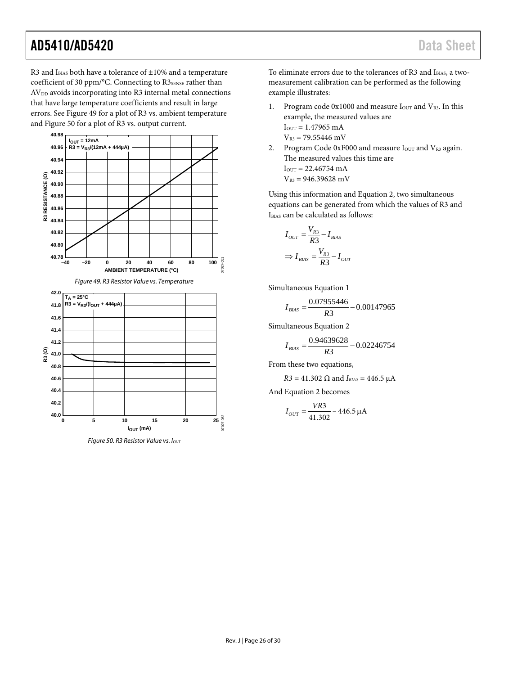R3 and I<sub>BIAS</sub> both have a tolerance of  $\pm 10\%$  and a temperature coefficient of 30 ppm/°C. Connecting to R3SENSE rather than  $AV<sub>DD</sub>$  avoids incorporating into R3 internal metal connections that have large temperature coefficients and result in large errors. See [Figure 49](#page-25-0) for a plot of R3 vs. ambient temperature an[d Figure 50](#page-25-1) for a plot of R3 vs. output current.

<span id="page-25-0"></span>

<span id="page-25-1"></span>*Figure 50. R3 Resistor Value vs. Iout* 

To eliminate errors due to the tolerances of R3 and IBIAS, a twomeasurement calibration can be performed as the following example illustrates:

- 1. Program code  $0x1000$  and measure  $I<sub>OUT</sub>$  and  $V<sub>R3</sub>$ . In this example, the measured values are  $I_{\text{OUT}} = 1.47965 \text{ mA}$  $V_{R3}$  = 79.55446 mV
- 2. Program Code  $0xF000$  and measure  $I_{\text{OUT}}$  and  $V_{\text{R3}}$  again. The measured values this time are  $I_{OUT} = 22.46754$  mA  $V_{R3} = 946.39628$  mV

Using this information and Equation 2, two simultaneous equations can be generated from which the values of R3 and IBIAS can be calculated as follows:

$$
I_{OUT} = \frac{V_{R3}}{R3} - I_{BIAS}
$$

$$
\Rightarrow I_{BIAS} = \frac{V_{R3}}{R3} - I_{OUT}
$$

Simultaneous Equation 1

$$
I_{BIAS} = \frac{0.07955446}{R3} - 0.00147965
$$

Simultaneous Equation 2

$$
I_{BIAS} = \frac{0.94639628}{R3} - 0.02246754
$$

From these two equations,

*R3* = 41.302 Ω and  $I_{BIAS}$  = 446.5 μA

And Equation 2 becomes

$$
I_{OUT} = \frac{VR3}{41.302} - 446.5 \,\mu\text{A}
$$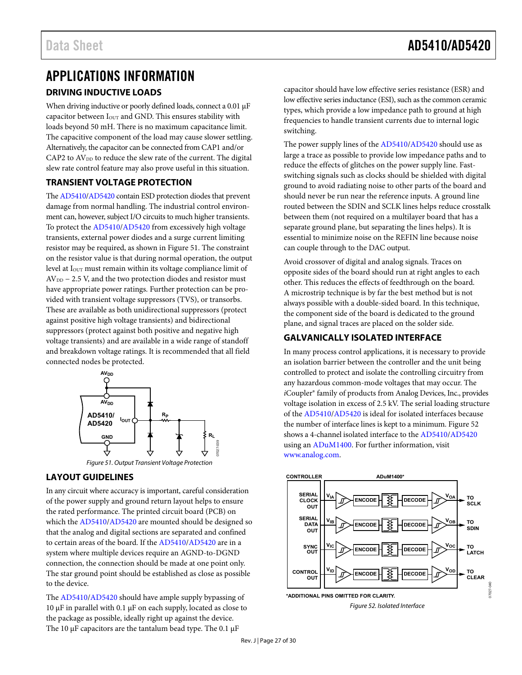# <span id="page-26-1"></span><span id="page-26-0"></span>APPLICATIONS INFORMATION **DRIVING INDUCTIVE LOADS**

When driving inductive or poorly defined loads, connect a 0.01 μF capacitor between I<sub>OUT</sub> and GND. This ensures stability with loads beyond 50 mH. There is no maximum capacitance limit. The capacitive component of the load may cause slower settling. Alternatively, the capacitor can be connected from CAP1 and/or  $CAP2$  to  $AV<sub>DD</sub>$  to reduce the slew rate of the current. The digital slew rate control feature may also prove useful in this situation.

### <span id="page-26-2"></span>**TRANSIENT VOLTAGE PROTECTION**

Th[e AD5410/](http://www.analog.com/AD5410?doc=AD5410_5420.pdf)[AD5420 c](http://www.analog.com/AD5420?doc=AD5410_5420.pdf)ontain ESD protection diodes that prevent damage from normal handling. The industrial control environment can, however, subject I/O circuits to much higher transients. To protect the [AD5410](http://www.analog.com/AD5410?doc=AD5410_5420.pdf)[/AD5420](http://www.analog.com/AD5420?doc=AD5410_5420.pdf) from excessively high voltage transients, external power diodes and a surge current limiting resistor may be required, as shown in [Figure 51.](#page-26-5) The constraint on the resistor value is that during normal operation, the output level at I<sub>OUT</sub> must remain within its voltage compliance limit of  $AV<sub>DD</sub> - 2.5 V$ , and the two protection diodes and resistor must have appropriate power ratings. Further protection can be provided with transient voltage suppressors (TVS), or transorbs. These are available as both unidirectional suppressors (protect against positive high voltage transients) and bidirectional suppressors (protect against both positive and negative high voltage transients) and are available in a wide range of standoff and breakdown voltage ratings. It is recommended that all field connected nodes be protected.



### <span id="page-26-5"></span><span id="page-26-3"></span>**LAYOUT GUIDELINES**

In any circuit where accuracy is important, careful consideration of the power supply and ground return layout helps to ensure the rated performance. The printed circuit board (PCB) on which th[e AD5410/](http://www.analog.com/AD5410?doc=AD5410_5420.pdf)[AD5420 a](http://www.analog.com/AD5420?doc=AD5410_5420.pdf)re mounted should be designed so that the analog and digital sections are separated and confined to certain areas of the board. If th[e AD5410/](http://www.analog.com/AD5410?doc=AD5410_5420.pdf)[AD5420](http://www.analog.com/AD5420?doc=AD5410_5420.pdf) are in a system where multiple devices require an AGND-to-DGND connection, the connection should be made at one point only. The star ground point should be established as close as possible to the device.

The [AD5410/](http://www.analog.com/AD5410?doc=AD5410_5420.pdf)[AD5420 s](http://www.analog.com/AD5420?doc=AD5410_5420.pdf)hould have ample supply bypassing of 10 μF in parallel with 0.1 μF on each supply, located as close to the package as possible, ideally right up against the device. The 10 μF capacitors are the tantalum bead type. The 0.1 μF

capacitor should have low effective series resistance (ESR) and low effective series inductance (ESI), such as the common ceramic types, which provide a low impedance path to ground at high frequencies to handle transient currents due to internal logic switching.

The power supply lines of th[e AD5410/](http://www.analog.com/AD5410?doc=AD5410_5420.pdf)[AD5420 s](http://www.analog.com/AD5420?doc=AD5410_5420.pdf)hould use as large a trace as possible to provide low impedance paths and to reduce the effects of glitches on the power supply line. Fastswitching signals such as clocks should be shielded with digital ground to avoid radiating noise to other parts of the board and should never be run near the reference inputs. A ground line routed between the SDIN and SCLK lines helps reduce crosstalk between them (not required on a multilayer board that has a separate ground plane, but separating the lines helps). It is essential to minimize noise on the REFIN line because noise can couple through to the DAC output.

Avoid crossover of digital and analog signals. Traces on opposite sides of the board should run at right angles to each other. This reduces the effects of feedthrough on the board. A microstrip technique is by far the best method but is not always possible with a double-sided board. In this technique, the component side of the board is dedicated to the ground plane, and signal traces are placed on the solder side.

### <span id="page-26-4"></span>**GALVANICALLY ISOLATED INTERFACE**

In many process control applications, it is necessary to provide an isolation barrier between the controller and the unit being controlled to protect and isolate the controlling circuitry from any hazardous common-mode voltages that may occur. The *i*Coupler® family of products from Analog Devices, Inc., provides voltage isolation in excess of 2.5 kV. The serial loading structure of th[e AD5410/](http://www.analog.com/AD5410?doc=AD5410_5420.pdf)[AD5420 is](http://www.analog.com/AD5420?doc=AD5410_5420.pdf) ideal for isolated interfaces because the number of interface lines is kept to a minimum. [Figure 52](#page-26-6)  shows a 4-channel isolated interface to th[e AD5410](http://www.analog.com/AD5410?doc=AD5410_5420.pdf)[/AD5420](http://www.analog.com/AD5420?doc=AD5410_5420.pdf) using an [ADuM1400.](http://www.analog.com/ADUM1400?doc=AD5410_5420.pdf) For further information, visit [www.analog.com.](http://www.analog.com/en/interface-isolation/digital-isolators/products/index.html?doc=AD5410_5420.pdf)

<span id="page-26-6"></span>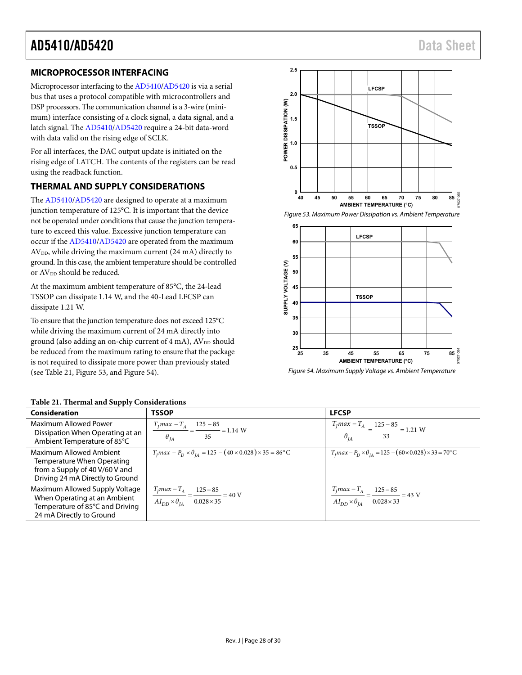#### <span id="page-27-0"></span>**MICROPROCESSOR INTERFACING**

Microprocessor interfacing to th[e AD5410/](http://www.analog.com/AD5410?doc=AD5410_5420.pdf)[AD5420 i](http://www.analog.com/AD5420?doc=AD5410_5420.pdf)s via a serial bus that uses a protocol compatible with microcontrollers and DSP processors. The communication channel is a 3-wire (minimum) interface consisting of a clock signal, a data signal, and a latch signal. The [AD5410/](http://www.analog.com/AD5410?doc=AD5410_5420.pdf)[AD5420 r](http://www.analog.com/AD5420?doc=AD5410_5420.pdf)equire a 24-bit data-word with data valid on the rising edge of SCLK.

For all interfaces, the DAC output update is initiated on the rising edge of LATCH. The contents of the registers can be read using the readback function.

#### <span id="page-27-1"></span>**THERMAL AND SUPPLY CONSIDERATIONS**

The [AD5410/](http://www.analog.com/AD5410?doc=AD5410_5420.pdf)[AD5420 a](http://www.analog.com/AD5420?doc=AD5410_5420.pdf)re designed to operate at a maximum junction temperature of 125°C. It is important that the device not be operated under conditions that cause the junction temperature to exceed this value. Excessive junction temperature can occur if th[e AD5410/](http://www.analog.com/AD5410?doc=AD5410_5420.pdf)[AD5420](http://www.analog.com/AD5420?doc=AD5410_5420.pdf) are operated from the maximum  $AV<sub>DD</sub>$ , while driving the maximum current (24 mA) directly to ground. In this case, the ambient temperature should be controlled or AV<sub>DD</sub> should be reduced.

At the maximum ambient temperature of 85°C, the 24-lead TSSOP can dissipate 1.14 W, and the 40-Lead LFCSP can dissipate 1.21 W.

To ensure that the junction temperature does not exceed 125°C while driving the maximum current of 24 mA directly into ground (also adding an on-chip current of 4 mA), AV<sub>DD</sub> should be reduced from the maximum rating to ensure that the package is not required to dissipate more power than previously stated (see [Table 21,](#page-27-2) [Figure 53, a](#page-27-3)n[d Figure 54\)](#page-27-4).



<span id="page-27-3"></span>Figure 53. Maximum Power Dissipation vs. Ambient Temperature



<span id="page-27-4"></span>Figure 54. Maximum Supply Voltage vs. Ambient Temperature

| Consideration                                                                                                                 | <b>TSSOP</b>                                                                                                                | <b>LFCSP</b>                                                                                                            |
|-------------------------------------------------------------------------------------------------------------------------------|-----------------------------------------------------------------------------------------------------------------------------|-------------------------------------------------------------------------------------------------------------------------|
| Maximum Allowed Power<br>Dissipation When Operating at an<br>Ambient Temperature of 85°C                                      | $\frac{T_f max - T_A}{T_f} = \frac{125 - 85}{T_f} = 1.14$ W<br>$\theta_{IA}$<br>35                                          | $\frac{T_f max - T_A}{T_f} = \frac{125 - 85}{T_f} = 1.21$ W<br>$\theta_{IA}$<br>33                                      |
| Maximum Allowed Ambient<br>Temperature When Operating<br>from a Supply of 40 V/60 V and<br>Driving 24 mA Directly to Ground   | $T_1$ max $-P_D \times \theta_{IA} = 125 - (40 \times 0.028) \times 35 = 86^{\circ}$ C                                      | $T_1$ max – $P_D \times \theta_{IA} = 125 - (60 \times 0.028) \times 33 = 70^{\circ}$ C                                 |
| Maximum Allowed Supply Voltage<br>When Operating at an Ambient<br>Temperature of 85°C and Driving<br>24 mA Directly to Ground | $\frac{T_f max - T_A}{T_f} = \frac{125 - 85}{125 - 85} = 40 \text{ V}$<br>$AI_{DD} \times \theta_{IA}$<br>$0.028 \times 35$ | $\frac{T_f max - T_A}{T_f max} = \frac{125 - 85}{125 - 85} = 43$ V<br>$AI_{DD} \times \theta_{IA}$<br>$0.028 \times 33$ |

#### <span id="page-27-2"></span>**Table 21. Thermal and Supply Considerations**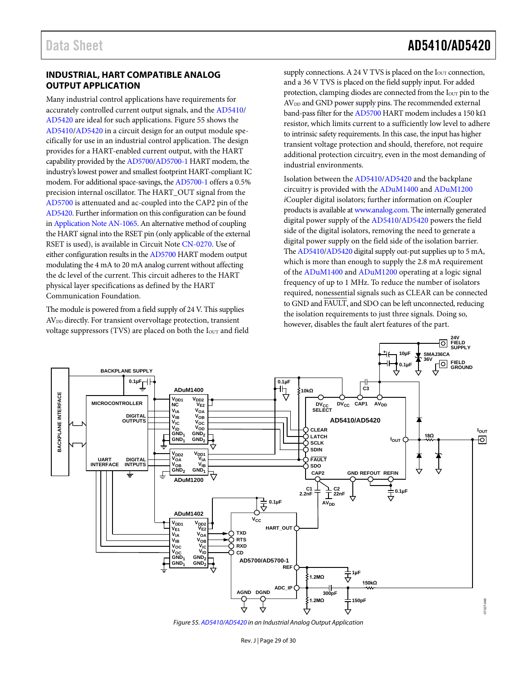# Data Sheet **AD5410/AD5420**

#### <span id="page-28-0"></span>**INDUSTRIAL, HART COMPATIBLE ANALOG OUTPUT APPLICATION**

Many industrial control applications have requirements for accurately controlled current output signals, and th[e AD5410/](http://www.analog.com/AD5410?doc=AD5410_5420.pdf) [AD5420](http://www.analog.com/AD5420?doc=AD5410_5420.pdf) are ideal for such applications[. Figure 55](#page-28-1) shows the [AD5410/](http://www.analog.com/AD5410?doc=AD5410_5420.pdf)[AD5420](http://www.analog.com/AD5420?doc=AD5410_5420.pdf) in a circuit design for an output module specifically for use in an industrial control application. The design provides for a HART-enabled current output, with the HART capability provided by th[e AD5700](http://www.analog.com/AD5700?doc=AD5410_5420.pdf)[/AD5700-1](http://www.analog.com/AD5700-1?doc=AD5410_5420.pdf) HART modem, the industry's lowest power and smallest footprint HART-compliant IC modem. For additional space-savings, the [AD5700-1](http://www.analog.com/AD5700-1?doc=AD5410_5420.pdf) offers a 0.5% precision internal oscillator. The HART\_OUT signal from the [AD5700](http://www.analog.com/AD5700?doc=AD5410_5420.pdf) is attenuated and ac-coupled into the CAP2 pin of the [AD5420.](http://www.analog.com/AD5420?doc=AD5410_5420.pdf) Further information on this configuration can be found i[n Application Note AN-1065.](http://www.analog.com/AN-1065?doc=AD5410_5420.pdf) An alternative method of coupling the HART signal into the RSET pin (only applicable of the external RSET is used), is available in Circuit Not[e CN-0270.](http://www.analog.com/CN0270?doc=AD5410_5420.pdf) Use of either configuration results in th[e AD5700](http://www.analog.com/AD5700?doc=AD5410_5420.pdf) HART modem output modulating the 4 mA to 20 mA analog current without affecting the dc level of the current. This circuit adheres to the HART physical layer specifications as defined by the HART Communication Foundation.

The module is powered from a field supply of 24 V. This supplies AV<sub>DD</sub> directly. For transient overvoltage protection, transient voltage suppressors (TVS) are placed on both the I<sub>OUT</sub> and field supply connections. A 24 V TVS is placed on the  $I<sub>OUT</sub>$  connection, and a 36 V TVS is placed on the field supply input. For added protection, clamping diodes are connected from the I<sub>OUT</sub> pin to the AV<sub>DD</sub> and GND power supply pins. The recommended external band-pass filter for th[e AD5700](http://www.analog.com/AD5700?doc=AD5410_5420.pdf) HART modem includes a 150 k $\Omega$ resistor, which limits current to a sufficiently low level to adhere to intrinsic safety requirements. In this case, the input has higher transient voltage protection and should, therefore, not require additional protection circuitry, even in the most demanding of industrial environments.

Isolation between th[e AD5410](http://www.analog.com/AD5410?doc=AD5410_5420.pdf)[/AD5420](http://www.analog.com/AD5420?doc=AD5410_5420.pdf) and the backplane circuitry is provided with th[e ADuM1400](http://www.analog.com/adum1400?doc=AD5410_5420.pdf) an[d ADuM1200](http://www.analog.com/adum1200?doc=AD5410_5420.pdf) *i*Coupler digital isolators; further information on *i*Coupler products is available a[t www.analog.com.](http://www.analog.com/en/interface-isolation/digital-isolators/products/index.html?doc=AD5410_5420.pdf) The internally generated digital power supply of the [AD5410/](http://www.analog.com/AD5410?doc=AD5410_5420.pdf)[AD5420](http://www.analog.com/AD5420?doc=AD5410_5420.pdf) powers the field side of the digital isolators, removing the need to generate a digital power supply on the field side of the isolation barrier. Th[e AD5410/](http://www.analog.com/AD5410?doc=AD5410_5420.pdf)[AD5420](http://www.analog.com/AD5420?doc=AD5410_5420.pdf) digital supply out-put supplies up to 5 mA, which is more than enough to supply the 2.8 mA requirement of the [ADuM1400](http://www.analog.com/adum1400?doc=AD5410_5420.pdf) and [ADuM1200](http://www.analog.com/adum1200?doc=AD5410_5420.pdf) operating at a logic signal frequency of up to 1 MHz. To reduce the number of isolators required, nonessential signals such as CLEAR can be connected to GND and FAULT, and SDO can be left unconnected, reducing the isolation requirements to just three signals. Doing so, however, disables the fault alert features of the part.



<span id="page-28-1"></span>*Figure 55[. AD5410/](http://www.analog.com/AD5410?doc=AD5410_5420.pdf)[AD5420](http://www.analog.com/AD5420?doc=AD5410_5420.pdf) in an Industrial Analog Output Application*